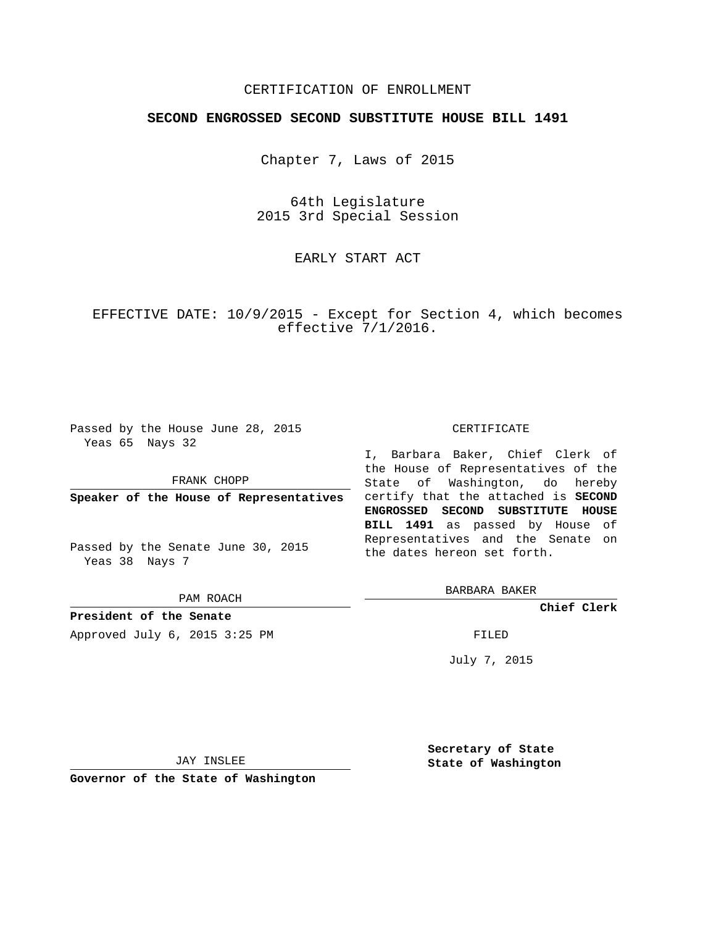# CERTIFICATION OF ENROLLMENT

# **SECOND ENGROSSED SECOND SUBSTITUTE HOUSE BILL 1491**

Chapter 7, Laws of 2015

64th Legislature 2015 3rd Special Session

EARLY START ACT

EFFECTIVE DATE: 10/9/2015 - Except for Section 4, which becomes effective 7/1/2016.

Passed by the House June 28, 2015 Yeas 65 Nays 32

FRANK CHOPP

Passed by the Senate June 30, 2015 Yeas 38 Nays 7

PAM ROACH

**President of the Senate** Approved July 6, 2015 3:25 PM FILED

### CERTIFICATE

**Speaker of the House of Representatives** certify that the attached is **SECOND** I, Barbara Baker, Chief Clerk of the House of Representatives of the State of Washington, do hereby **ENGROSSED SECOND SUBSTITUTE HOUSE BILL 1491** as passed by House of Representatives and the Senate on the dates hereon set forth.

BARBARA BAKER

**Chief Clerk**

July 7, 2015

JAY INSLEE

**Governor of the State of Washington**

**Secretary of State State of Washington**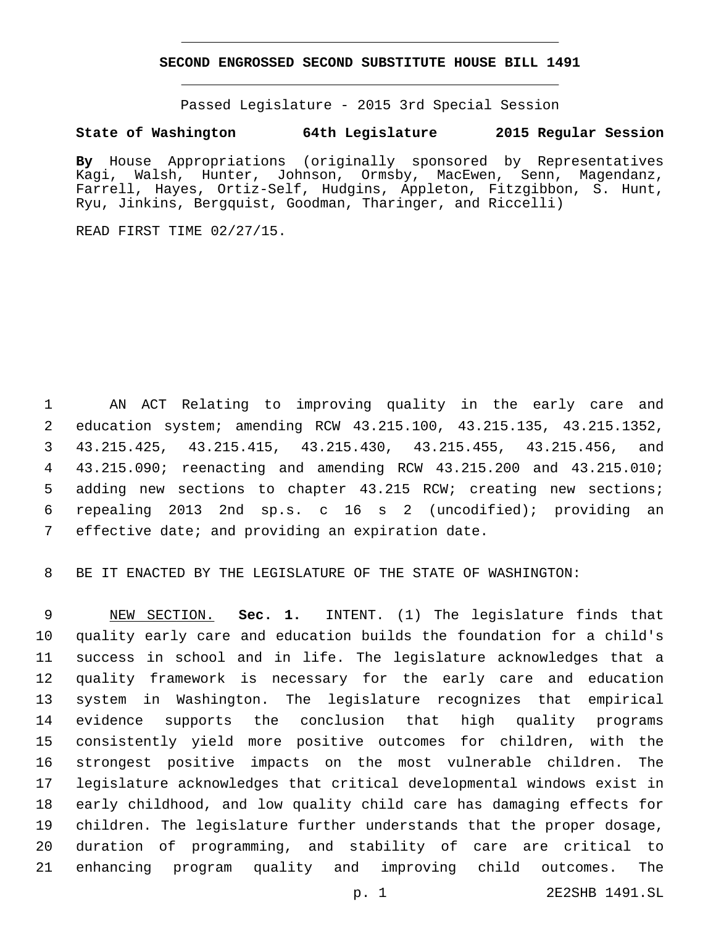## **SECOND ENGROSSED SECOND SUBSTITUTE HOUSE BILL 1491**

Passed Legislature - 2015 3rd Special Session

# **State of Washington 64th Legislature 2015 Regular Session**

**By** House Appropriations (originally sponsored by Representatives Kagi, Walsh, Hunter, Johnson, Ormsby, MacEwen, Senn, Magendanz, Farrell, Hayes, Ortiz-Self, Hudgins, Appleton, Fitzgibbon, S. Hunt, Ryu, Jinkins, Bergquist, Goodman, Tharinger, and Riccelli)

READ FIRST TIME 02/27/15.

 AN ACT Relating to improving quality in the early care and education system; amending RCW 43.215.100, 43.215.135, 43.215.1352, 43.215.425, 43.215.415, 43.215.430, 43.215.455, 43.215.456, and 43.215.090; reenacting and amending RCW 43.215.200 and 43.215.010; adding new sections to chapter 43.215 RCW; creating new sections; repealing 2013 2nd sp.s. c 16 s 2 (uncodified); providing an 7 effective date; and providing an expiration date.

BE IT ENACTED BY THE LEGISLATURE OF THE STATE OF WASHINGTON:

 NEW SECTION. **Sec. 1.** INTENT. (1) The legislature finds that quality early care and education builds the foundation for a child's success in school and in life. The legislature acknowledges that a quality framework is necessary for the early care and education system in Washington. The legislature recognizes that empirical evidence supports the conclusion that high quality programs consistently yield more positive outcomes for children, with the strongest positive impacts on the most vulnerable children. The legislature acknowledges that critical developmental windows exist in early childhood, and low quality child care has damaging effects for children. The legislature further understands that the proper dosage, duration of programming, and stability of care are critical to enhancing program quality and improving child outcomes. The

p. 1 2E2SHB 1491.SL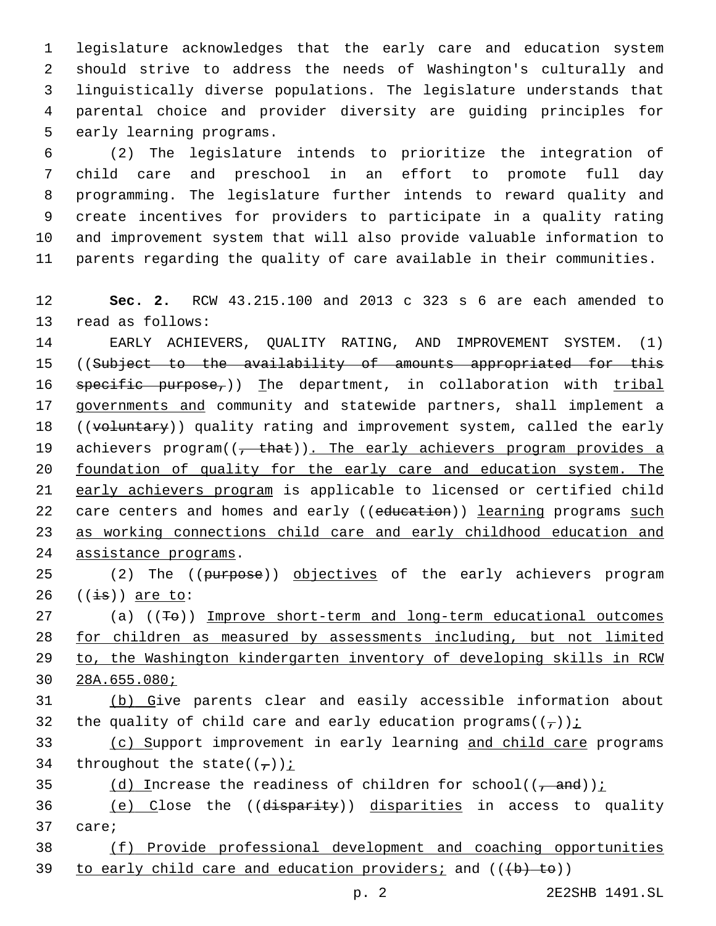legislature acknowledges that the early care and education system should strive to address the needs of Washington's culturally and linguistically diverse populations. The legislature understands that parental choice and provider diversity are guiding principles for 5 early learning programs.

 (2) The legislature intends to prioritize the integration of child care and preschool in an effort to promote full day programming. The legislature further intends to reward quality and create incentives for providers to participate in a quality rating and improvement system that will also provide valuable information to parents regarding the quality of care available in their communities.

12 **Sec. 2.** RCW 43.215.100 and 2013 c 323 s 6 are each amended to 13 read as follows:

14 EARLY ACHIEVERS, QUALITY RATING, AND IMPROVEMENT SYSTEM. (1) 15 ((Subject to the availability of amounts appropriated for this 16 specific purpose,)) The department, in collaboration with tribal 17 governments and community and statewide partners, shall implement a 18 ((voluntary)) quality rating and improvement system, called the early 19 achievers program((, that)). The early achievers program provides a 20 foundation of quality for the early care and education system. The 21 early achievers program is applicable to licensed or certified child 22 care centers and homes and early ((education)) learning programs such 23 as working connections child care and early childhood education and 24 assistance programs.

25 (2) The ((purpose)) objectives of the early achievers program  $26$   $((\frac{1}{15}))$  are to:

 (a) ((To)) Improve short-term and long-term educational outcomes for children as measured by assessments including, but not limited to, the Washington kindergarten inventory of developing skills in RCW 28A.655.080;

31 (b) Give parents clear and easily accessible information about 32 the quality of child care and early education programs( $(\tau)$ );

33 (c) Support improvement in early learning and child care programs 34 throughout the state( $(\tau)$ ) i

35 (d) Increase the readiness of children for school( $(-$ and)) $\frac{i}{c}$ 

36 (e) Close the ((disparity)) disparities in access to quality 37 care;

38 (f) Provide professional development and coaching opportunities 39 to early child care and education providers; and  $((+b) + b)$ )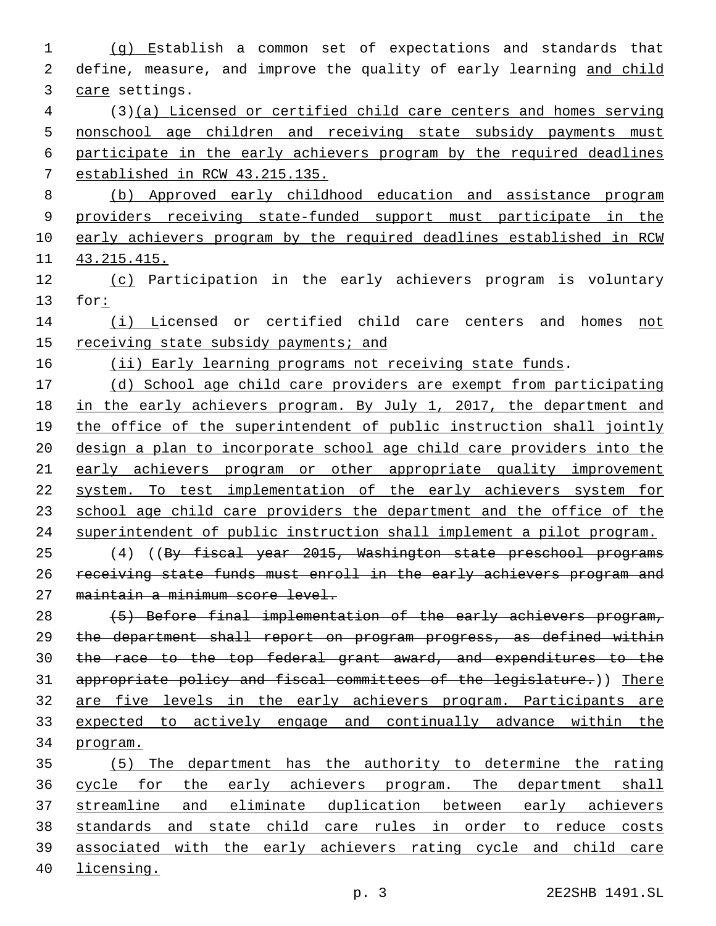(g) Establish a common set of expectations and standards that 2 define, measure, and improve the quality of early learning and child 3 care settings. (3)(a) Licensed or certified child care centers and homes serving nonschool age children and receiving state subsidy payments must participate in the early achievers program by the required deadlines established in RCW 43.215.135. (b) Approved early childhood education and assistance program providers receiving state-funded support must participate in the early achievers program by the required deadlines established in RCW 43.215.415. 12 (c) Participation in the early achievers program is voluntary for: 14 (i) Licensed or certified child care centers and homes not 15 receiving state subsidy payments; and 16 (ii) Early learning programs not receiving state funds. (d) School age child care providers are exempt from participating in the early achievers program. By July 1, 2017, the department and 19 the office of the superintendent of public instruction shall jointly design a plan to incorporate school age child care providers into the 21 early achievers program or other appropriate quality improvement system. To test implementation of the early achievers system for 23 school age child care providers the department and the office of the superintendent of public instruction shall implement a pilot program. (4) ((By fiscal year 2015, Washington state preschool programs receiving state funds must enroll in the early achievers program and maintain a minimum score level. 28 (5) Before final implementation of the early achievers program, the department shall report on program progress, as defined within the race to the top federal grant award, and expenditures to the appropriate policy and fiscal committees of the legislature.)) There 32 are five levels in the early achievers program. Participants are expected to actively engage and continually advance within the program. (5) The department has the authority to determine the rating 36 cycle for the early achievers program. The department shall streamline and eliminate duplication between early achievers standards and state child care rules in order to reduce costs associated with the early achievers rating cycle and child care licensing.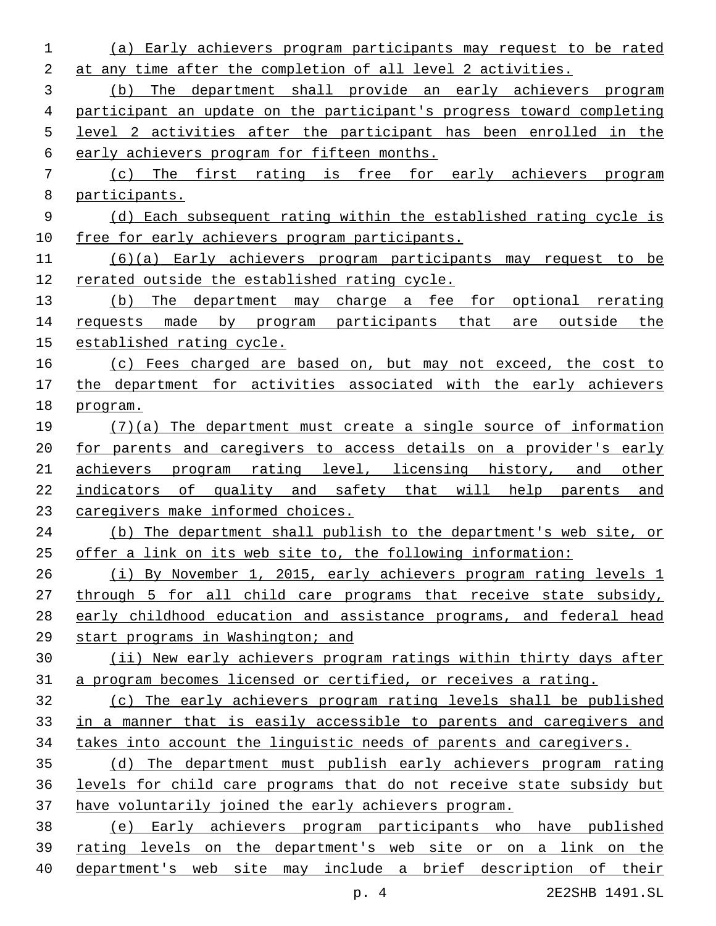(a) Early achievers program participants may request to be rated at any time after the completion of all level 2 activities. (b) The department shall provide an early achievers program participant an update on the participant's progress toward completing level 2 activities after the participant has been enrolled in the early achievers program for fifteen months. (c) The first rating is free for early achievers program participants. (d) Each subsequent rating within the established rating cycle is free for early achievers program participants. (6)(a) Early achievers program participants may request to be rerated outside the established rating cycle. 13 (b) The department may charge a fee for optional rerating 14 requests made by program participants that are outside the established rating cycle. (c) Fees charged are based on, but may not exceed, the cost to the department for activities associated with the early achievers program. (7)(a) The department must create a single source of information for parents and caregivers to access details on a provider's early achievers program rating level, licensing history, and other indicators of quality and safety that will help parents and caregivers make informed choices. (b) The department shall publish to the department's web site, or offer a link on its web site to, the following information: (i) By November 1, 2015, early achievers program rating levels 1 through 5 for all child care programs that receive state subsidy, early childhood education and assistance programs, and federal head start programs in Washington; and (ii) New early achievers program ratings within thirty days after a program becomes licensed or certified, or receives a rating. (c) The early achievers program rating levels shall be published in a manner that is easily accessible to parents and caregivers and takes into account the linguistic needs of parents and caregivers. (d) The department must publish early achievers program rating levels for child care programs that do not receive state subsidy but have voluntarily joined the early achievers program. (e) Early achievers program participants who have published rating levels on the department's web site or on a link on the department's web site may include a brief description of their

p. 4 2E2SHB 1491.SL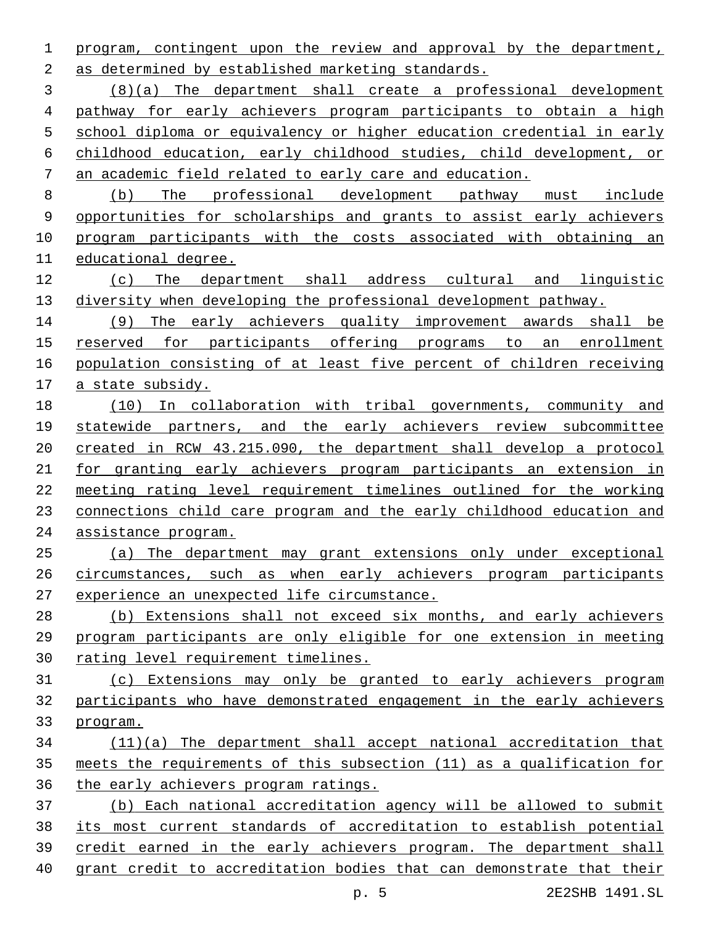program, contingent upon the review and approval by the department, as determined by established marketing standards.2

 (8)(a) The department shall create a professional development pathway for early achievers program participants to obtain a high school diploma or equivalency or higher education credential in early childhood education, early childhood studies, child development, or an academic field related to early care and education.

 (b) The professional development pathway must include opportunities for scholarships and grants to assist early achievers program participants with the costs associated with obtaining an educational degree.

 (c) The department shall address cultural and linguistic diversity when developing the professional development pathway.

 (9) The early achievers quality improvement awards shall be reserved for participants offering programs to an enrollment population consisting of at least five percent of children receiving a state subsidy.

 (10) In collaboration with tribal governments, community and statewide partners, and the early achievers review subcommittee created in RCW 43.215.090, the department shall develop a protocol for granting early achievers program participants an extension in meeting rating level requirement timelines outlined for the working connections child care program and the early childhood education and assistance program.

 (a) The department may grant extensions only under exceptional circumstances, such as when early achievers program participants 27 experience an unexpected life circumstance.

 (b) Extensions shall not exceed six months, and early achievers program participants are only eligible for one extension in meeting rating level requirement timelines.

 (c) Extensions may only be granted to early achievers program participants who have demonstrated engagement in the early achievers program.

 (11)(a) The department shall accept national accreditation that meets the requirements of this subsection (11) as a qualification for the early achievers program ratings.

 (b) Each national accreditation agency will be allowed to submit its most current standards of accreditation to establish potential credit earned in the early achievers program. The department shall grant credit to accreditation bodies that can demonstrate that their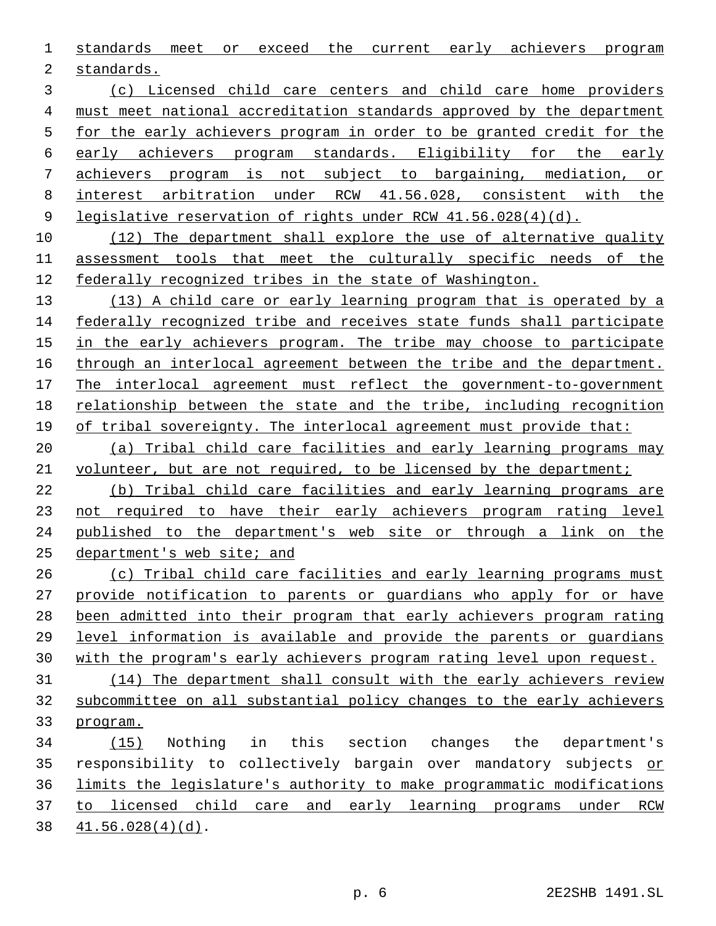standards meet or exceed the current early achievers program

2 standards.

 (c) Licensed child care centers and child care home providers must meet national accreditation standards approved by the department for the early achievers program in order to be granted credit for the early achievers program standards. Eligibility for the early achievers program is not subject to bargaining, mediation, or interest arbitration under RCW 41.56.028, consistent with the legislative reservation of rights under RCW 41.56.028(4)(d).

 (12) The department shall explore the use of alternative quality assessment tools that meet the culturally specific needs of the federally recognized tribes in the state of Washington.

13 (13) A child care or early learning program that is operated by a federally recognized tribe and receives state funds shall participate in the early achievers program. The tribe may choose to participate through an interlocal agreement between the tribe and the department. The interlocal agreement must reflect the government-to-government relationship between the state and the tribe, including recognition of tribal sovereignty. The interlocal agreement must provide that:

 (a) Tribal child care facilities and early learning programs may 21 volunteer, but are not required, to be licensed by the department;

 (b) Tribal child care facilities and early learning programs are not required to have their early achievers program rating level published to the department's web site or through a link on the department's web site; and

 (c) Tribal child care facilities and early learning programs must provide notification to parents or guardians who apply for or have been admitted into their program that early achievers program rating level information is available and provide the parents or guardians with the program's early achievers program rating level upon request. (14) The department shall consult with the early achievers review

 subcommittee on all substantial policy changes to the early achievers program.

 (15) Nothing in this section changes the department's 35 responsibility to collectively bargain over mandatory subjects or limits the legislature's authority to make programmatic modifications to licensed child care and early learning programs under RCW  $41.56.028(4)(d)$ .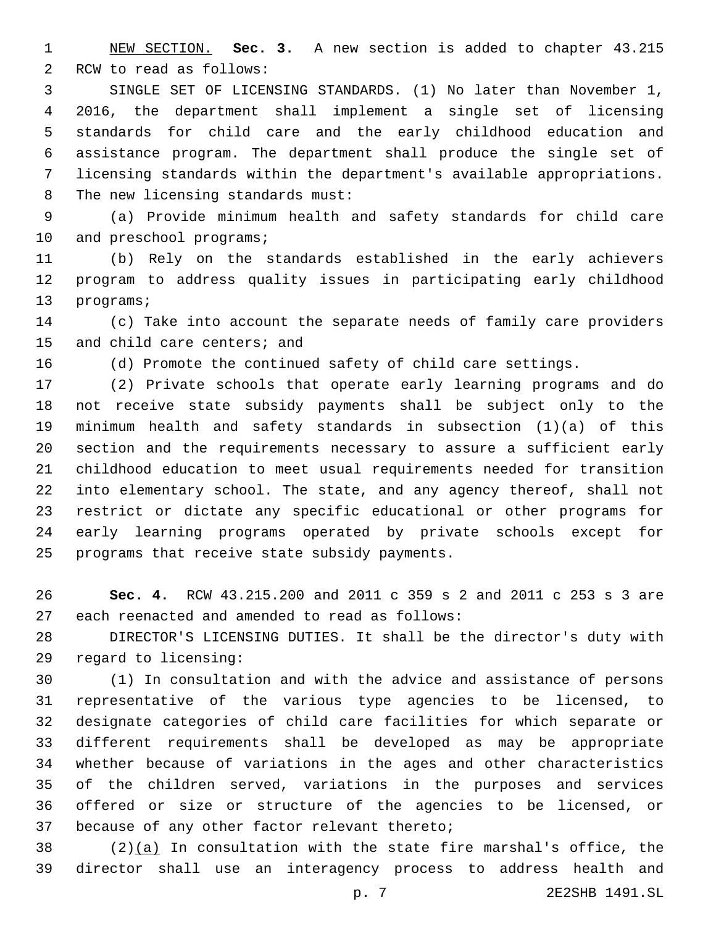NEW SECTION. **Sec. 3.** A new section is added to chapter 43.215 2 RCW to read as follows:

 SINGLE SET OF LICENSING STANDARDS. (1) No later than November 1, 2016, the department shall implement a single set of licensing standards for child care and the early childhood education and assistance program. The department shall produce the single set of licensing standards within the department's available appropriations. 8 The new licensing standards must:

 (a) Provide minimum health and safety standards for child care 10 and preschool programs;

 (b) Rely on the standards established in the early achievers program to address quality issues in participating early childhood 13 programs;

 (c) Take into account the separate needs of family care providers 15 and child care centers; and

(d) Promote the continued safety of child care settings.

 (2) Private schools that operate early learning programs and do not receive state subsidy payments shall be subject only to the minimum health and safety standards in subsection (1)(a) of this section and the requirements necessary to assure a sufficient early childhood education to meet usual requirements needed for transition into elementary school. The state, and any agency thereof, shall not restrict or dictate any specific educational or other programs for early learning programs operated by private schools except for 25 programs that receive state subsidy payments.

 **Sec. 4.** RCW 43.215.200 and 2011 c 359 s 2 and 2011 c 253 s 3 are 27 each reenacted and amended to read as follows:

 DIRECTOR'S LICENSING DUTIES. It shall be the director's duty with 29 regard to licensing:

 (1) In consultation and with the advice and assistance of persons representative of the various type agencies to be licensed, to designate categories of child care facilities for which separate or different requirements shall be developed as may be appropriate whether because of variations in the ages and other characteristics of the children served, variations in the purposes and services offered or size or structure of the agencies to be licensed, or 37 because of any other factor relevant thereto;

 (2)(a) In consultation with the state fire marshal's office, the director shall use an interagency process to address health and

p. 7 2E2SHB 1491.SL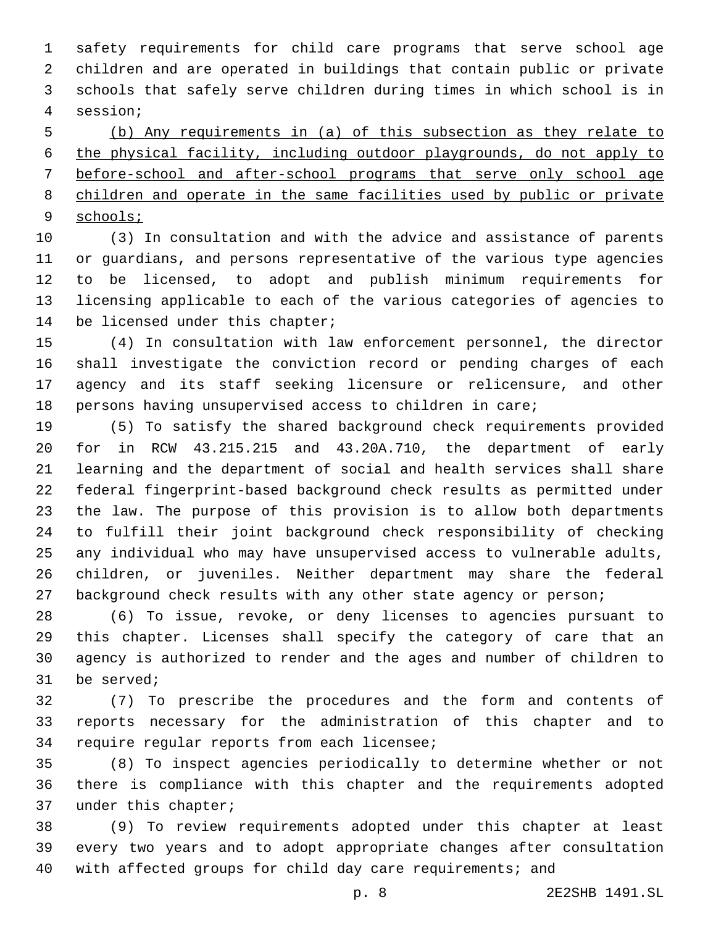safety requirements for child care programs that serve school age children and are operated in buildings that contain public or private schools that safely serve children during times in which school is in session;4

 (b) Any requirements in (a) of this subsection as they relate to the physical facility, including outdoor playgrounds, do not apply to before-school and after-school programs that serve only school age children and operate in the same facilities used by public or private schools;

 (3) In consultation and with the advice and assistance of parents or guardians, and persons representative of the various type agencies to be licensed, to adopt and publish minimum requirements for licensing applicable to each of the various categories of agencies to 14 be licensed under this chapter;

 (4) In consultation with law enforcement personnel, the director shall investigate the conviction record or pending charges of each agency and its staff seeking licensure or relicensure, and other persons having unsupervised access to children in care;

 (5) To satisfy the shared background check requirements provided for in RCW 43.215.215 and 43.20A.710, the department of early learning and the department of social and health services shall share federal fingerprint-based background check results as permitted under the law. The purpose of this provision is to allow both departments to fulfill their joint background check responsibility of checking any individual who may have unsupervised access to vulnerable adults, children, or juveniles. Neither department may share the federal 27 background check results with any other state agency or person;

 (6) To issue, revoke, or deny licenses to agencies pursuant to this chapter. Licenses shall specify the category of care that an agency is authorized to render and the ages and number of children to 31 be served;

 (7) To prescribe the procedures and the form and contents of reports necessary for the administration of this chapter and to 34 require regular reports from each licensee;

 (8) To inspect agencies periodically to determine whether or not there is compliance with this chapter and the requirements adopted 37 under this chapter;

 (9) To review requirements adopted under this chapter at least every two years and to adopt appropriate changes after consultation with affected groups for child day care requirements; and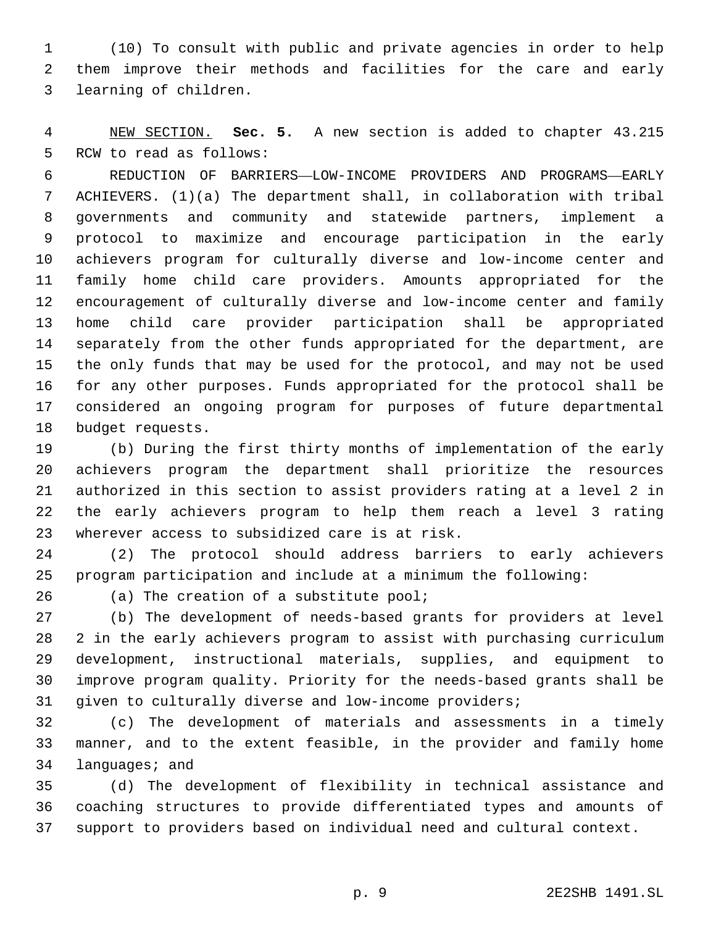(10) To consult with public and private agencies in order to help them improve their methods and facilities for the care and early 3 learning of children.

 NEW SECTION. **Sec. 5.** A new section is added to chapter 43.215 5 RCW to read as follows:

 REDUCTION OF BARRIERS—LOW-INCOME PROVIDERS AND PROGRAMS—EARLY ACHIEVERS. (1)(a) The department shall, in collaboration with tribal governments and community and statewide partners, implement a protocol to maximize and encourage participation in the early achievers program for culturally diverse and low-income center and family home child care providers. Amounts appropriated for the encouragement of culturally diverse and low-income center and family home child care provider participation shall be appropriated separately from the other funds appropriated for the department, are the only funds that may be used for the protocol, and may not be used for any other purposes. Funds appropriated for the protocol shall be considered an ongoing program for purposes of future departmental 18 budget requests.

 (b) During the first thirty months of implementation of the early achievers program the department shall prioritize the resources authorized in this section to assist providers rating at a level 2 in the early achievers program to help them reach a level 3 rating 23 wherever access to subsidized care is at risk.

 (2) The protocol should address barriers to early achievers program participation and include at a minimum the following:

26 (a) The creation of a substitute pool;

 (b) The development of needs-based grants for providers at level 2 in the early achievers program to assist with purchasing curriculum development, instructional materials, supplies, and equipment to improve program quality. Priority for the needs-based grants shall be given to culturally diverse and low-income providers;

 (c) The development of materials and assessments in a timely manner, and to the extent feasible, in the provider and family home 34 languages; and

 (d) The development of flexibility in technical assistance and coaching structures to provide differentiated types and amounts of support to providers based on individual need and cultural context.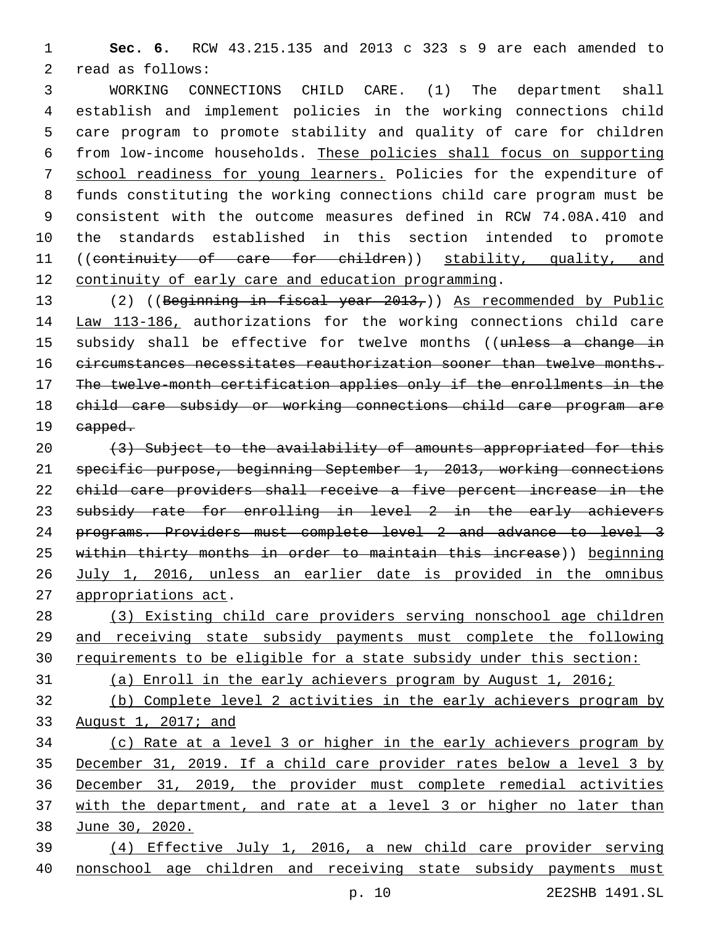**Sec. 6.** RCW 43.215.135 and 2013 c 323 s 9 are each amended to 2 read as follows:

 WORKING CONNECTIONS CHILD CARE. (1) The department shall establish and implement policies in the working connections child care program to promote stability and quality of care for children from low-income households. These policies shall focus on supporting school readiness for young learners. Policies for the expenditure of funds constituting the working connections child care program must be consistent with the outcome measures defined in RCW 74.08A.410 and the standards established in this section intended to promote 11 ((continuity of care for children)) stability, quality, and continuity of early care and education programming.

 (2) ((Beginning in fiscal year 2013,)) As recommended by Public Law 113-186, authorizations for the working connections child care 15 subsidy shall be effective for twelve months ((unless a change in circumstances necessitates reauthorization sooner than twelve months. The twelve-month certification applies only if the enrollments in the child care subsidy or working connections child care program are 19 eapped.

20 (3) Subject to the availability of amounts appropriated for this specific purpose, beginning September 1, 2013, working connections child care providers shall receive a five percent increase in the 23 subsidy rate for enrolling in level 2 in the early achievers programs. Providers must complete level 2 and advance to level 3 within thirty months in order to maintain this increase)) beginning July 1, 2016, unless an earlier date is provided in the omnibus appropriations act.

 (3) Existing child care providers serving nonschool age children and receiving state subsidy payments must complete the following requirements to be eligible for a state subsidy under this section:

(a) Enroll in the early achievers program by August 1, 2016;

 (b) Complete level 2 activities in the early achievers program by August 1, 2017; and

 (c) Rate at a level 3 or higher in the early achievers program by December 31, 2019. If a child care provider rates below a level 3 by December 31, 2019, the provider must complete remedial activities with the department, and rate at a level 3 or higher no later than June 30, 2020.

 (4) Effective July 1, 2016, a new child care provider serving nonschool age children and receiving state subsidy payments must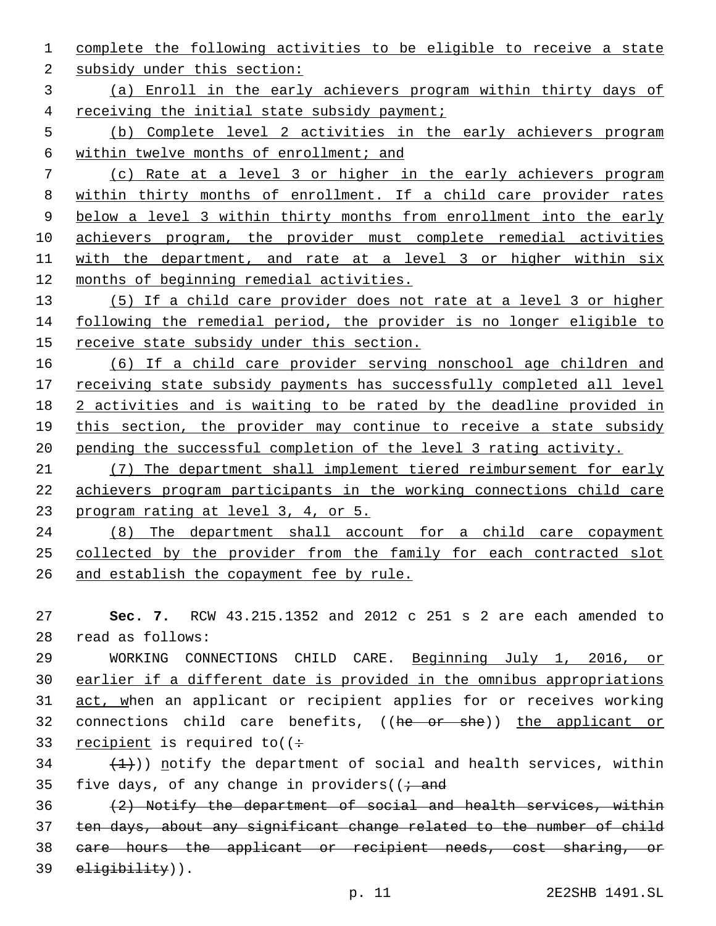complete the following activities to be eligible to receive a state

2 subsidy under this section:

 (a) Enroll in the early achievers program within thirty days of receiving the initial state subsidy payment;

 (b) Complete level 2 activities in the early achievers program within twelve months of enrollment; and

 (c) Rate at a level 3 or higher in the early achievers program 8 within thirty months of enrollment. If a child care provider rates below a level 3 within thirty months from enrollment into the early achievers program, the provider must complete remedial activities with the department, and rate at a level 3 or higher within six months of beginning remedial activities.

 (5) If a child care provider does not rate at a level 3 or higher following the remedial period, the provider is no longer eligible to receive state subsidy under this section.

 (6) If a child care provider serving nonschool age children and 17 receiving state subsidy payments has successfully completed all level 2 activities and is waiting to be rated by the deadline provided in this section, the provider may continue to receive a state subsidy pending the successful completion of the level 3 rating activity.

 (7) The department shall implement tiered reimbursement for early achievers program participants in the working connections child care program rating at level 3, 4, or 5.

 (8) The department shall account for a child care copayment 25 collected by the provider from the family for each contracted slot and establish the copayment fee by rule.

 **Sec. 7.** RCW 43.215.1352 and 2012 c 251 s 2 are each amended to read as follows:28

 WORKING CONNECTIONS CHILD CARE. Beginning July 1, 2016, or earlier if a different date is provided in the omnibus appropriations 31 act, when an applicant or recipient applies for or receives working 32 connections child care benefits, ((he or she)) the applicant or 33 recipient is required to  $($  :

  $(1)$ ) notify the department of social and health services, within 35 five days, of any change in providers( $(i - and)$ 

 $(2)$  Notify the department of social and health services, within ten days, about any significant change related to the number of child care hours the applicant or recipient needs, cost sharing, or 39 eligibility)).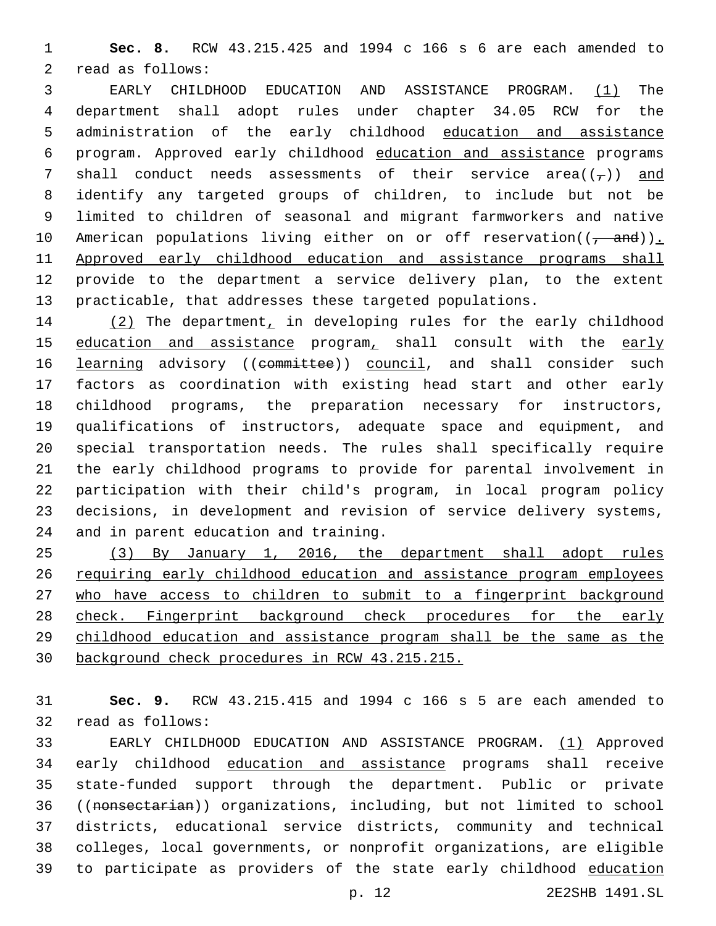**Sec. 8.** RCW 43.215.425 and 1994 c 166 s 6 are each amended to 2 read as follows:

 EARLY CHILDHOOD EDUCATION AND ASSISTANCE PROGRAM. (1) The department shall adopt rules under chapter 34.05 RCW for the administration of the early childhood education and assistance program. Approved early childhood education and assistance programs 7 shall conduct needs assessments of their service area( $(\tau)$ ) and identify any targeted groups of children, to include but not be limited to children of seasonal and migrant farmworkers and native 10 American populations living either on or off reservation(( $\frac{1}{1-\alpha}$ )). Approved early childhood education and assistance programs shall provide to the department a service delivery plan, to the extent practicable, that addresses these targeted populations.

 (2) The department, in developing rules for the early childhood 15 education and assistance program, shall consult with the early 16 learning advisory ((committee)) council, and shall consider such factors as coordination with existing head start and other early childhood programs, the preparation necessary for instructors, qualifications of instructors, adequate space and equipment, and special transportation needs. The rules shall specifically require the early childhood programs to provide for parental involvement in participation with their child's program, in local program policy decisions, in development and revision of service delivery systems, 24 and in parent education and training.

 (3) By January 1, 2016, the department shall adopt rules requiring early childhood education and assistance program employees 27 who have access to children to submit to a fingerprint background 28 check. Fingerprint background check procedures for the early childhood education and assistance program shall be the same as the background check procedures in RCW 43.215.215.

 **Sec. 9.** RCW 43.215.415 and 1994 c 166 s 5 are each amended to 32 read as follows:

 EARLY CHILDHOOD EDUCATION AND ASSISTANCE PROGRAM. (1) Approved early childhood education and assistance programs shall receive state-funded support through the department. Public or private ((nonsectarian)) organizations, including, but not limited to school districts, educational service districts, community and technical colleges, local governments, or nonprofit organizations, are eligible to participate as providers of the state early childhood education

p. 12 2E2SHB 1491.SL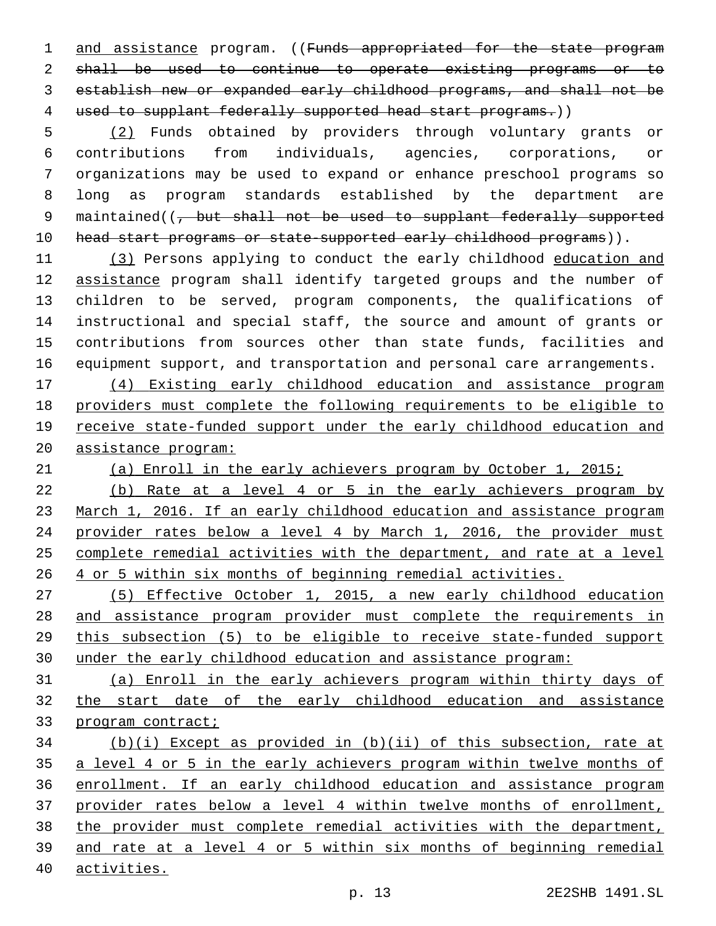1 and assistance program. ((Funds appropriated for the state program shall be used to continue to operate existing programs or to establish new or expanded early childhood programs, and shall not be 4 used to supplant federally supported head start programs.))

 (2) Funds obtained by providers through voluntary grants or contributions from individuals, agencies, corporations, or organizations may be used to expand or enhance preschool programs so long as program standards established by the department are 9 maintained((<del>, but shall not be used to supplant federally supported</del> 10 head start programs or state-supported early childhood programs)).

 (3) Persons applying to conduct the early childhood education and 12 assistance program shall identify targeted groups and the number of children to be served, program components, the qualifications of instructional and special staff, the source and amount of grants or contributions from sources other than state funds, facilities and equipment support, and transportation and personal care arrangements.

 (4) Existing early childhood education and assistance program providers must complete the following requirements to be eligible to receive state-funded support under the early childhood education and assistance program:

(a) Enroll in the early achievers program by October 1, 2015;

 (b) Rate at a level 4 or 5 in the early achievers program by March 1, 2016. If an early childhood education and assistance program provider rates below a level 4 by March 1, 2016, the provider must complete remedial activities with the department, and rate at a level 4 or 5 within six months of beginning remedial activities.

 (5) Effective October 1, 2015, a new early childhood education and assistance program provider must complete the requirements in this subsection (5) to be eligible to receive state-funded support under the early childhood education and assistance program:

 (a) Enroll in the early achievers program within thirty days of the start date of the early childhood education and assistance program contract;

 (b)(i) Except as provided in (b)(ii) of this subsection, rate at a level 4 or 5 in the early achievers program within twelve months of enrollment. If an early childhood education and assistance program provider rates below a level 4 within twelve months of enrollment, 38 the provider must complete remedial activities with the department, and rate at a level 4 or 5 within six months of beginning remedial activities.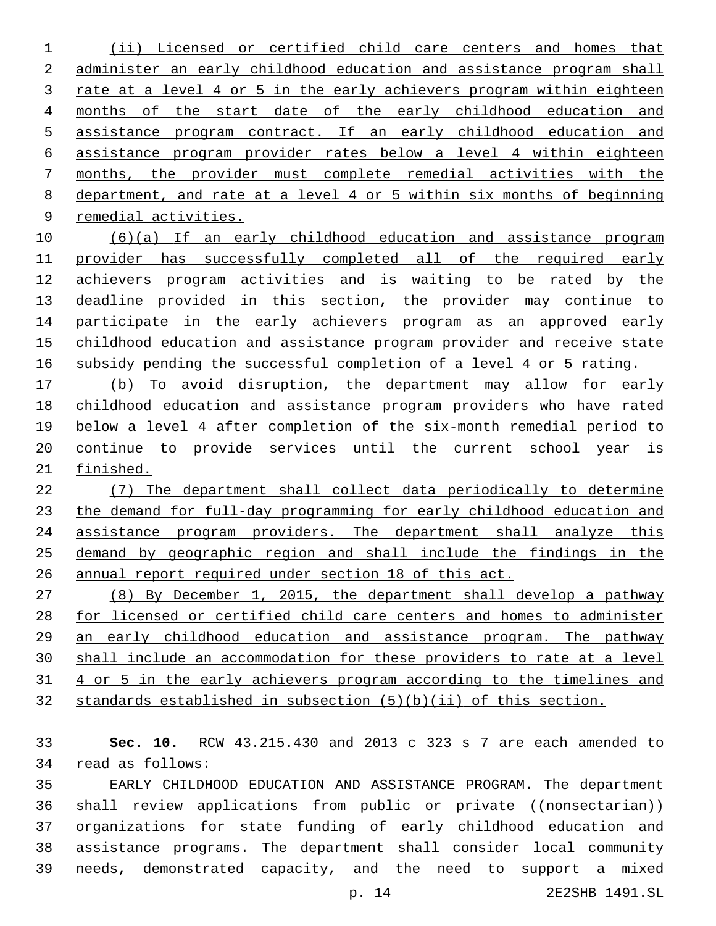(ii) Licensed or certified child care centers and homes that administer an early childhood education and assistance program shall rate at a level 4 or 5 in the early achievers program within eighteen months of the start date of the early childhood education and assistance program contract. If an early childhood education and assistance program provider rates below a level 4 within eighteen months, the provider must complete remedial activities with the department, and rate at a level 4 or 5 within six months of beginning remedial activities.

 (6)(a) If an early childhood education and assistance program provider has successfully completed all of the required early achievers program activities and is waiting to be rated by the 13 deadline provided in this section, the provider may continue to 14 participate in the early achievers program as an approved early childhood education and assistance program provider and receive state subsidy pending the successful completion of a level 4 or 5 rating.

 (b) To avoid disruption, the department may allow for early childhood education and assistance program providers who have rated below a level 4 after completion of the six-month remedial period to continue to provide services until the current school year is finished.

 (7) The department shall collect data periodically to determine the demand for full-day programming for early childhood education and assistance program providers. The department shall analyze this demand by geographic region and shall include the findings in the annual report required under section 18 of this act.

 (8) By December 1, 2015, the department shall develop a pathway for licensed or certified child care centers and homes to administer an early childhood education and assistance program. The pathway shall include an accommodation for these providers to rate at a level 4 or 5 in the early achievers program according to the timelines and standards established in subsection (5)(b)(ii) of this section.

 **Sec. 10.** RCW 43.215.430 and 2013 c 323 s 7 are each amended to read as follows:34

 EARLY CHILDHOOD EDUCATION AND ASSISTANCE PROGRAM. The department 36 shall review applications from public or private ((nonsectarian)) organizations for state funding of early childhood education and assistance programs. The department shall consider local community needs, demonstrated capacity, and the need to support a mixed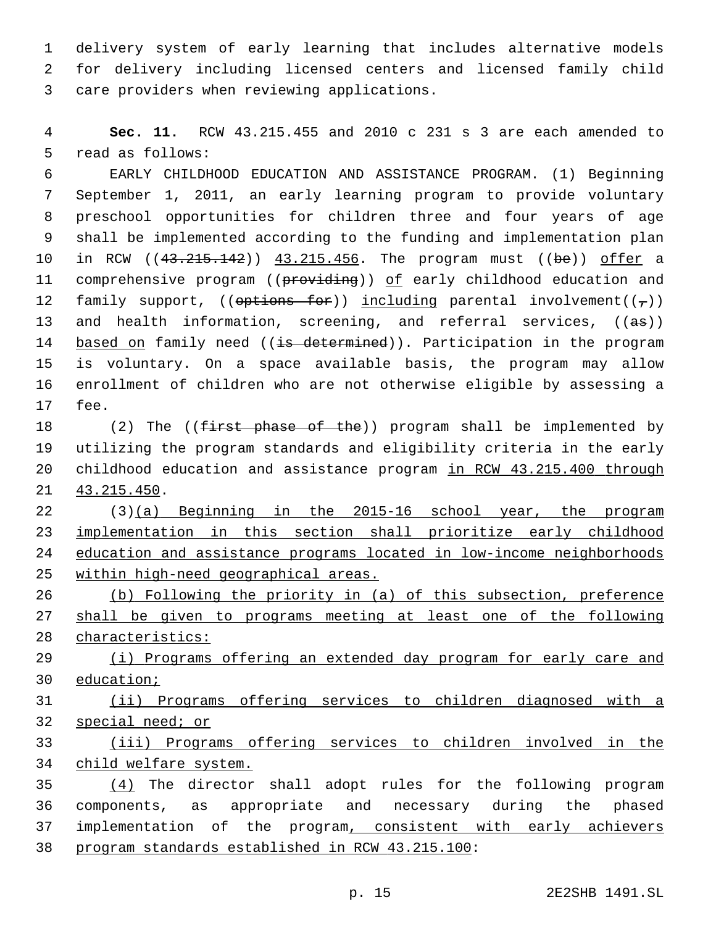delivery system of early learning that includes alternative models for delivery including licensed centers and licensed family child 3 care providers when reviewing applications.

 **Sec. 11.** RCW 43.215.455 and 2010 c 231 s 3 are each amended to 5 read as follows:

 EARLY CHILDHOOD EDUCATION AND ASSISTANCE PROGRAM. (1) Beginning September 1, 2011, an early learning program to provide voluntary preschool opportunities for children three and four years of age shall be implemented according to the funding and implementation plan 10 in RCW ((43.215.142)) 43.215.456. The program must ((be)) offer a 11 comprehensive program ((providing)) of early childhood education and 12 family support, (( $\Theta$ tions for)) including parental involvement( $(\tau)$ ) 13 and health information, screening, and referral services, ((as)) 14 based on family need ((is determined)). Participation in the program is voluntary. On a space available basis, the program may allow enrollment of children who are not otherwise eligible by assessing a 17 fee.

18 (2) The (( $f$ irst phase of the)) program shall be implemented by utilizing the program standards and eligibility criteria in the early 20 childhood education and assistance program in RCW 43.215.400 through 21 43.215.450.

 (3)(a) Beginning in the 2015-16 school year, the program implementation in this section shall prioritize early childhood education and assistance programs located in low-income neighborhoods within high-need geographical areas.

 (b) Following the priority in (a) of this subsection, preference 27 shall be given to programs meeting at least one of the following characteristics:

 (i) Programs offering an extended day program for early care and education;

 (ii) Programs offering services to children diagnosed with a special need; or

 (iii) Programs offering services to children involved in the child welfare system.

 (4) The director shall adopt rules for the following program components, as appropriate and necessary during the phased 37 implementation of the program, consistent with early achievers 38 program standards established in RCW 43.215.100: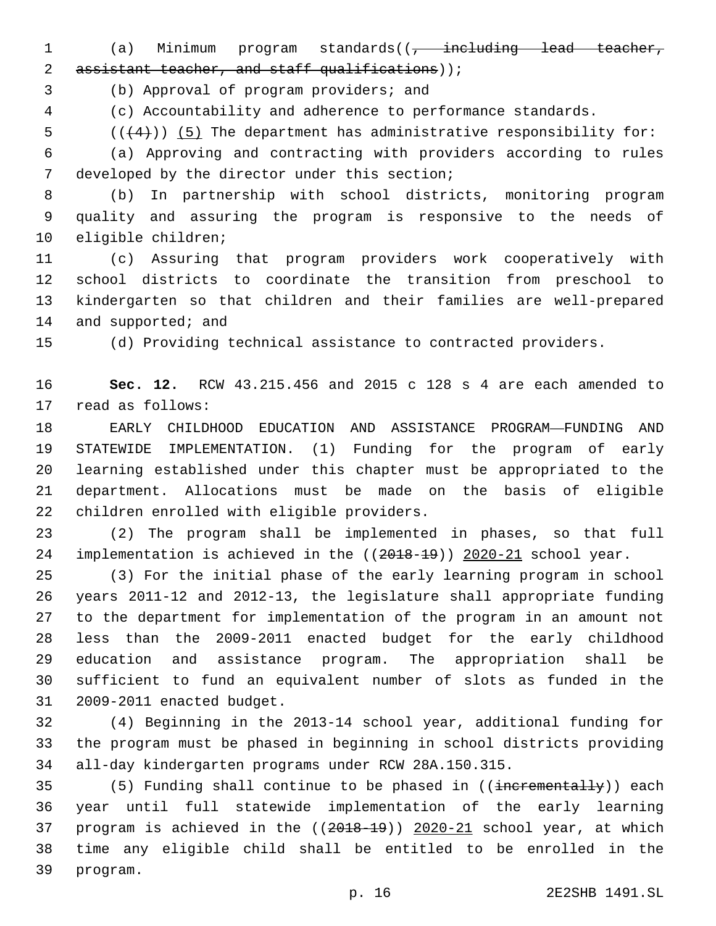1 (a) Minimum program standards((<del>, including lead teacher,</del> 2 assistant teacher, and staff qualifications));

3 (b) Approval of program providers; and

(c) Accountability and adherence to performance standards.

5  $((+4))$  (5) The department has administrative responsibility for:

 (a) Approving and contracting with providers according to rules 7 developed by the director under this section;

 (b) In partnership with school districts, monitoring program quality and assuring the program is responsive to the needs of 10 eligible children;

 (c) Assuring that program providers work cooperatively with school districts to coordinate the transition from preschool to kindergarten so that children and their families are well-prepared 14 and supported; and

(d) Providing technical assistance to contracted providers.

 **Sec. 12.** RCW 43.215.456 and 2015 c 128 s 4 are each amended to 17 read as follows:

 EARLY CHILDHOOD EDUCATION AND ASSISTANCE PROGRAM—FUNDING AND STATEWIDE IMPLEMENTATION. (1) Funding for the program of early learning established under this chapter must be appropriated to the department. Allocations must be made on the basis of eligible 22 children enrolled with eligible providers.

 (2) The program shall be implemented in phases, so that full implementation is achieved in the ((2018-19)) 2020-21 school year.

 (3) For the initial phase of the early learning program in school years 2011-12 and 2012-13, the legislature shall appropriate funding to the department for implementation of the program in an amount not less than the 2009-2011 enacted budget for the early childhood education and assistance program. The appropriation shall be sufficient to fund an equivalent number of slots as funded in the 31 2009-2011 enacted budget.

 (4) Beginning in the 2013-14 school year, additional funding for the program must be phased in beginning in school districts providing all-day kindergarten programs under RCW 28A.150.315.

35 (5) Funding shall continue to be phased in ((incrementally)) each year until full statewide implementation of the early learning program is achieved in the ((2018-19)) 2020-21 school year, at which time any eligible child shall be entitled to be enrolled in the 39 program.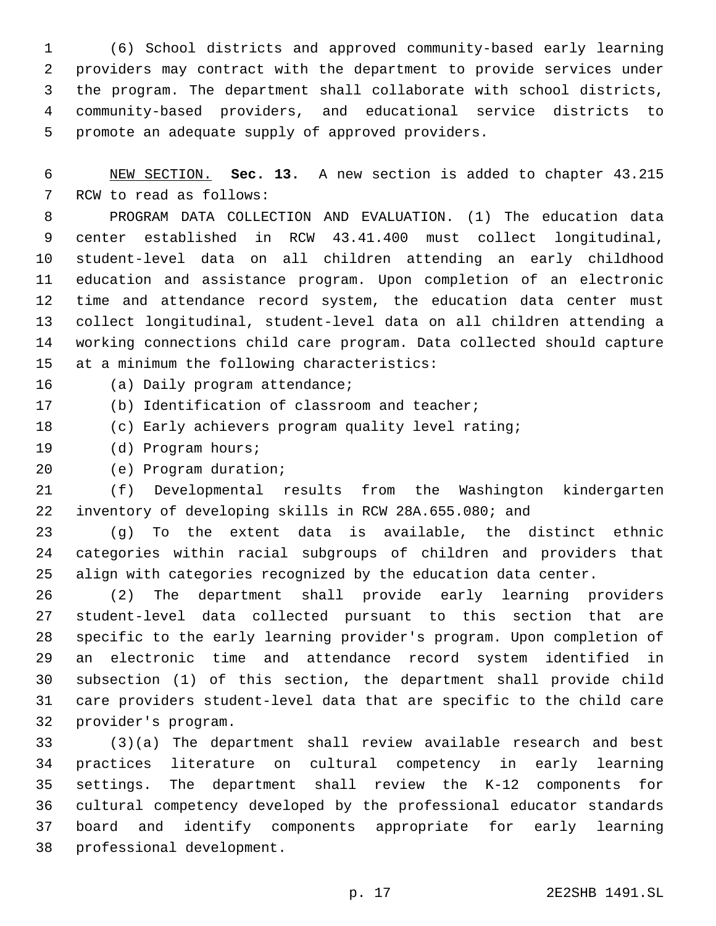(6) School districts and approved community-based early learning providers may contract with the department to provide services under the program. The department shall collaborate with school districts, community-based providers, and educational service districts to 5 promote an adequate supply of approved providers.

 NEW SECTION. **Sec. 13.** A new section is added to chapter 43.215 7 RCW to read as follows:

 PROGRAM DATA COLLECTION AND EVALUATION. (1) The education data center established in RCW 43.41.400 must collect longitudinal, student-level data on all children attending an early childhood education and assistance program. Upon completion of an electronic time and attendance record system, the education data center must collect longitudinal, student-level data on all children attending a working connections child care program. Data collected should capture 15 at a minimum the following characteristics:

16 (a) Daily program attendance;

17 (b) Identification of classroom and teacher;

(c) Early achievers program quality level rating;

19 (d) Program hours;

20 (e) Program duration;

 (f) Developmental results from the Washington kindergarten inventory of developing skills in RCW 28A.655.080; and

 (g) To the extent data is available, the distinct ethnic categories within racial subgroups of children and providers that align with categories recognized by the education data center.

 (2) The department shall provide early learning providers student-level data collected pursuant to this section that are specific to the early learning provider's program. Upon completion of an electronic time and attendance record system identified in subsection (1) of this section, the department shall provide child care providers student-level data that are specific to the child care provider's program.32

 (3)(a) The department shall review available research and best practices literature on cultural competency in early learning settings. The department shall review the K-12 components for cultural competency developed by the professional educator standards board and identify components appropriate for early learning 38 professional development.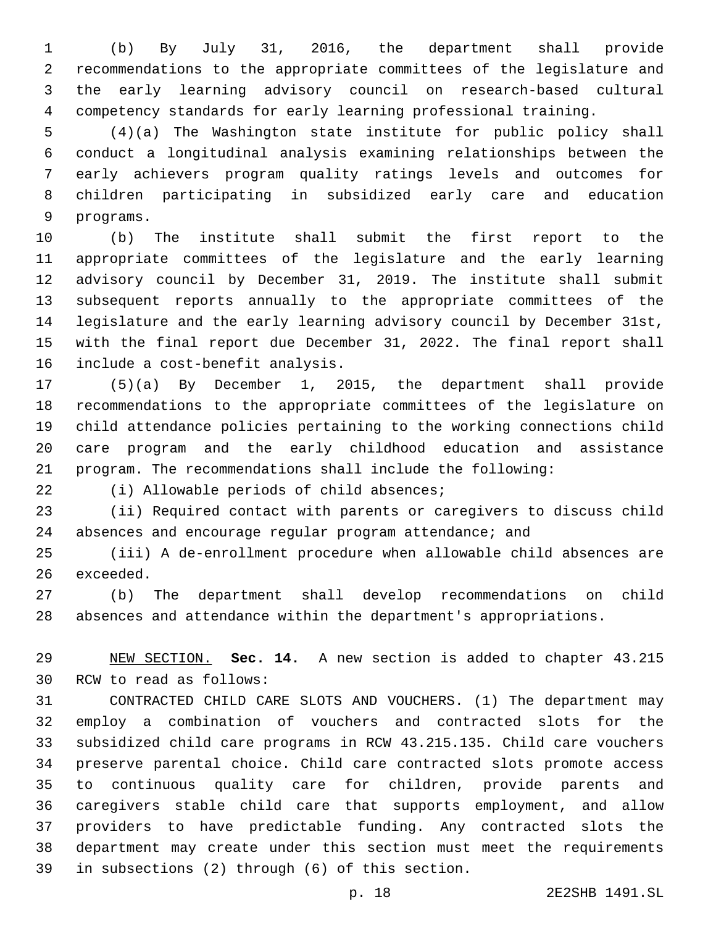(b) By July 31, 2016, the department shall provide recommendations to the appropriate committees of the legislature and the early learning advisory council on research-based cultural competency standards for early learning professional training.

 (4)(a) The Washington state institute for public policy shall conduct a longitudinal analysis examining relationships between the early achievers program quality ratings levels and outcomes for children participating in subsidized early care and education 9 programs.

 (b) The institute shall submit the first report to the appropriate committees of the legislature and the early learning advisory council by December 31, 2019. The institute shall submit subsequent reports annually to the appropriate committees of the legislature and the early learning advisory council by December 31st, with the final report due December 31, 2022. The final report shall 16 include a cost-benefit analysis.

 (5)(a) By December 1, 2015, the department shall provide recommendations to the appropriate committees of the legislature on child attendance policies pertaining to the working connections child care program and the early childhood education and assistance program. The recommendations shall include the following:

(i) Allowable periods of child absences;

 (ii) Required contact with parents or caregivers to discuss child absences and encourage regular program attendance; and

 (iii) A de-enrollment procedure when allowable child absences are 26 exceeded.

 (b) The department shall develop recommendations on child absences and attendance within the department's appropriations.

 NEW SECTION. **Sec. 14.** A new section is added to chapter 43.215 30 RCW to read as follows:

 CONTRACTED CHILD CARE SLOTS AND VOUCHERS. (1) The department may employ a combination of vouchers and contracted slots for the subsidized child care programs in RCW 43.215.135. Child care vouchers preserve parental choice. Child care contracted slots promote access to continuous quality care for children, provide parents and caregivers stable child care that supports employment, and allow providers to have predictable funding. Any contracted slots the department may create under this section must meet the requirements 39 in subsections (2) through (6) of this section.

p. 18 2E2SHB 1491.SL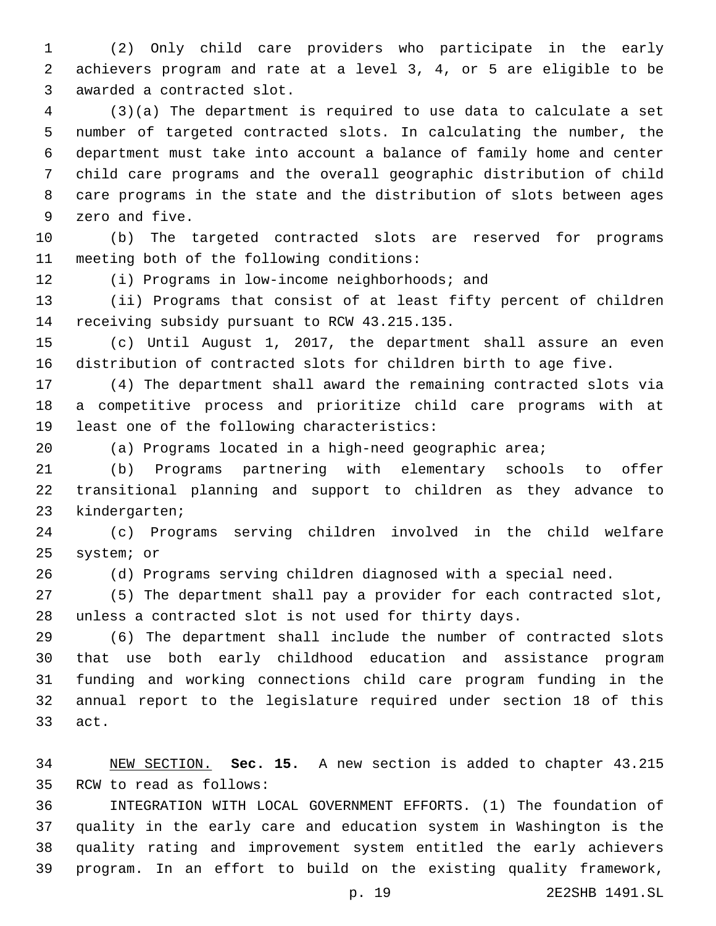(2) Only child care providers who participate in the early achievers program and rate at a level 3, 4, or 5 are eligible to be 3 awarded a contracted slot.

 (3)(a) The department is required to use data to calculate a set number of targeted contracted slots. In calculating the number, the department must take into account a balance of family home and center child care programs and the overall geographic distribution of child care programs in the state and the distribution of slots between ages 9 zero and five.

 (b) The targeted contracted slots are reserved for programs 11 meeting both of the following conditions:

12 (i) Programs in low-income neighborhoods; and

 (ii) Programs that consist of at least fifty percent of children 14 receiving subsidy pursuant to RCW 43.215.135.

 (c) Until August 1, 2017, the department shall assure an even distribution of contracted slots for children birth to age five.

 (4) The department shall award the remaining contracted slots via a competitive process and prioritize child care programs with at 19 least one of the following characteristics:

(a) Programs located in a high-need geographic area;

 (b) Programs partnering with elementary schools to offer transitional planning and support to children as they advance to 23 kindergarten;

 (c) Programs serving children involved in the child welfare 25 system; or

(d) Programs serving children diagnosed with a special need.

 (5) The department shall pay a provider for each contracted slot, unless a contracted slot is not used for thirty days.

 (6) The department shall include the number of contracted slots that use both early childhood education and assistance program funding and working connections child care program funding in the annual report to the legislature required under section 18 of this 33 act.

 NEW SECTION. **Sec. 15.** A new section is added to chapter 43.215 35 RCW to read as follows:

 INTEGRATION WITH LOCAL GOVERNMENT EFFORTS. (1) The foundation of quality in the early care and education system in Washington is the quality rating and improvement system entitled the early achievers program. In an effort to build on the existing quality framework,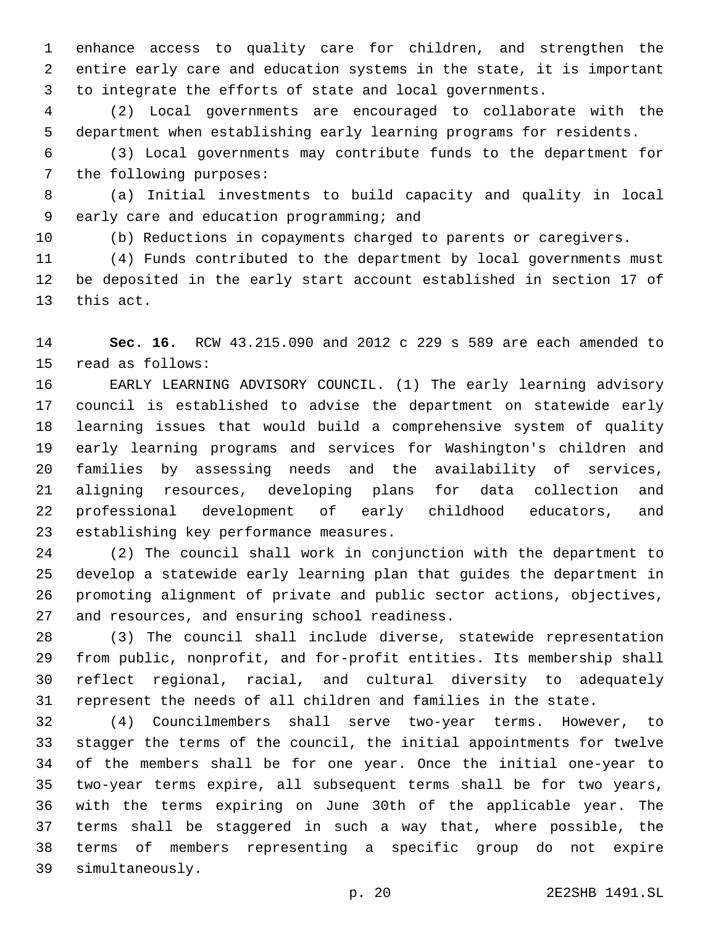enhance access to quality care for children, and strengthen the entire early care and education systems in the state, it is important to integrate the efforts of state and local governments.

 (2) Local governments are encouraged to collaborate with the department when establishing early learning programs for residents.

 (3) Local governments may contribute funds to the department for 7 the following purposes:

 (a) Initial investments to build capacity and quality in local 9 early care and education programming; and

(b) Reductions in copayments charged to parents or caregivers.

 (4) Funds contributed to the department by local governments must be deposited in the early start account established in section 17 of 13 this act.

 **Sec. 16.** RCW 43.215.090 and 2012 c 229 s 589 are each amended to 15 read as follows:

 EARLY LEARNING ADVISORY COUNCIL. (1) The early learning advisory council is established to advise the department on statewide early learning issues that would build a comprehensive system of quality early learning programs and services for Washington's children and families by assessing needs and the availability of services, aligning resources, developing plans for data collection and professional development of early childhood educators, and 23 establishing key performance measures.

 (2) The council shall work in conjunction with the department to develop a statewide early learning plan that guides the department in promoting alignment of private and public sector actions, objectives, 27 and resources, and ensuring school readiness.

 (3) The council shall include diverse, statewide representation from public, nonprofit, and for-profit entities. Its membership shall reflect regional, racial, and cultural diversity to adequately represent the needs of all children and families in the state.

 (4) Councilmembers shall serve two-year terms. However, to stagger the terms of the council, the initial appointments for twelve of the members shall be for one year. Once the initial one-year to two-year terms expire, all subsequent terms shall be for two years, with the terms expiring on June 30th of the applicable year. The terms shall be staggered in such a way that, where possible, the terms of members representing a specific group do not expire 39 simultaneously.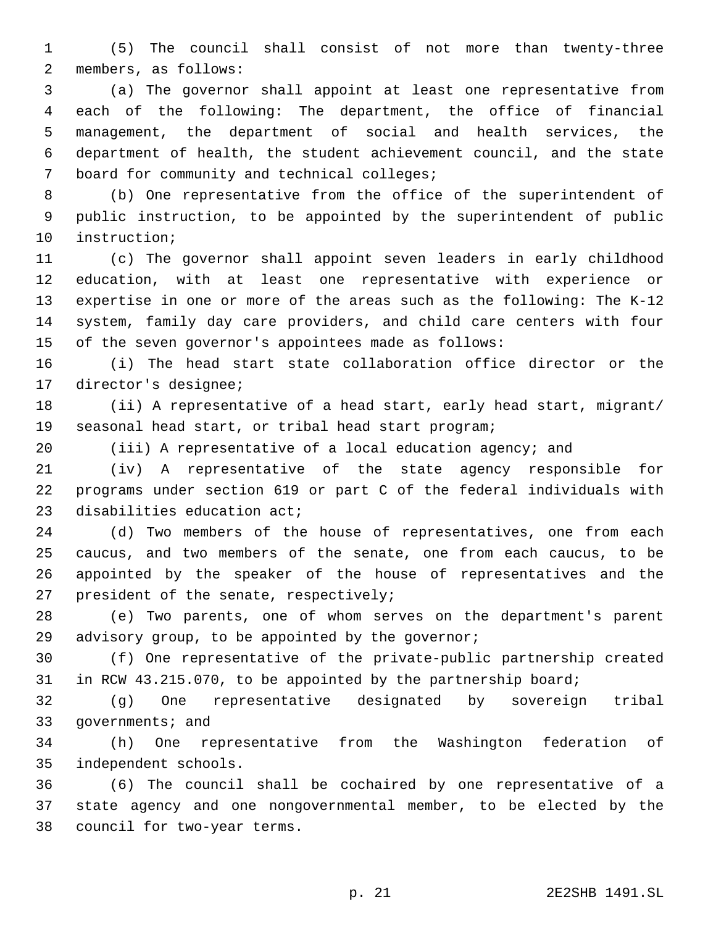(5) The council shall consist of not more than twenty-three 2 members, as follows:

 (a) The governor shall appoint at least one representative from each of the following: The department, the office of financial management, the department of social and health services, the department of health, the student achievement council, and the state 7 board for community and technical colleges;

 (b) One representative from the office of the superintendent of public instruction, to be appointed by the superintendent of public 10 instruction;

 (c) The governor shall appoint seven leaders in early childhood education, with at least one representative with experience or expertise in one or more of the areas such as the following: The K-12 system, family day care providers, and child care centers with four of the seven governor's appointees made as follows:

 (i) The head start state collaboration office director or the 17 director's designee;

 (ii) A representative of a head start, early head start, migrant/ seasonal head start, or tribal head start program;

(iii) A representative of a local education agency; and

 (iv) A representative of the state agency responsible for programs under section 619 or part C of the federal individuals with 23 disabilities education act;

 (d) Two members of the house of representatives, one from each caucus, and two members of the senate, one from each caucus, to be appointed by the speaker of the house of representatives and the 27 president of the senate, respectively;

 (e) Two parents, one of whom serves on the department's parent 29 advisory group, to be appointed by the governor;

 (f) One representative of the private-public partnership created in RCW 43.215.070, to be appointed by the partnership board;

 (g) One representative designated by sovereign tribal 33 governments; and

 (h) One representative from the Washington federation of independent schools.35

 (6) The council shall be cochaired by one representative of a state agency and one nongovernmental member, to be elected by the 38 council for two-year terms.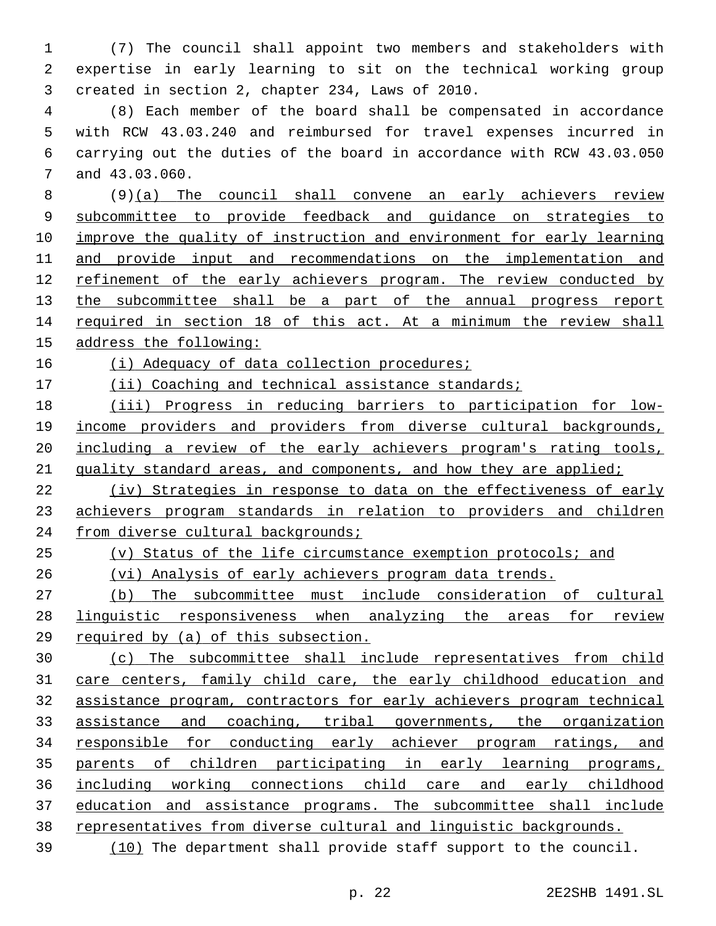(7) The council shall appoint two members and stakeholders with expertise in early learning to sit on the technical working group 3 created in section 2, chapter 234, Laws of 2010.

 (8) Each member of the board shall be compensated in accordance with RCW 43.03.240 and reimbursed for travel expenses incurred in carrying out the duties of the board in accordance with RCW 43.03.050 7 and 43.03.060.

 (9)(a) The council shall convene an early achievers review subcommittee to provide feedback and guidance on strategies to improve the quality of instruction and environment for early learning and provide input and recommendations on the implementation and refinement of the early achievers program. The review conducted by 13 the subcommittee shall be a part of the annual progress report required in section 18 of this act. At a minimum the review shall address the following:

(i) Adequacy of data collection procedures;

17 (ii) Coaching and technical assistance standards;

 (iii) Progress in reducing barriers to participation for low- income providers and providers from diverse cultural backgrounds, including a review of the early achievers program's rating tools, 21 quality standard areas, and components, and how they are applied;

 (iv) Strategies in response to data on the effectiveness of early achievers program standards in relation to providers and children 24 from diverse cultural backgrounds;

 (v) Status of the life circumstance exemption protocols; and (vi) Analysis of early achievers program data trends.

 (b) The subcommittee must include consideration of cultural linguistic responsiveness when analyzing the areas for review required by (a) of this subsection.

 (c) The subcommittee shall include representatives from child care centers, family child care, the early childhood education and assistance program, contractors for early achievers program technical 33 assistance and coaching, tribal governments, the organization responsible for conducting early achiever program ratings, and parents of children participating in early learning programs, including working connections child care and early childhood education and assistance programs. The subcommittee shall include representatives from diverse cultural and linguistic backgrounds.

(10) The department shall provide staff support to the council.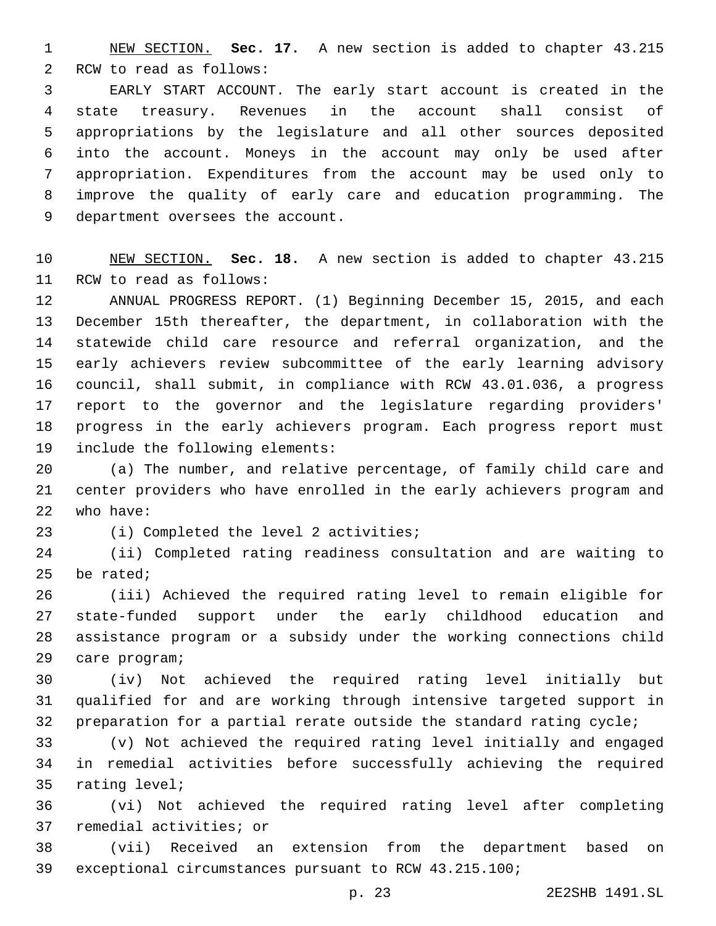NEW SECTION. **Sec. 17.** A new section is added to chapter 43.215 2 RCW to read as follows:

 EARLY START ACCOUNT. The early start account is created in the state treasury. Revenues in the account shall consist of appropriations by the legislature and all other sources deposited into the account. Moneys in the account may only be used after appropriation. Expenditures from the account may be used only to improve the quality of early care and education programming. The 9 department oversees the account.

 NEW SECTION. **Sec. 18.** A new section is added to chapter 43.215 11 RCW to read as follows:

 ANNUAL PROGRESS REPORT. (1) Beginning December 15, 2015, and each December 15th thereafter, the department, in collaboration with the statewide child care resource and referral organization, and the early achievers review subcommittee of the early learning advisory council, shall submit, in compliance with RCW 43.01.036, a progress report to the governor and the legislature regarding providers' progress in the early achievers program. Each progress report must 19 include the following elements:

 (a) The number, and relative percentage, of family child care and center providers who have enrolled in the early achievers program and 22 who have:

23 (i) Completed the level 2 activities;

 (ii) Completed rating readiness consultation and are waiting to be rated;

 (iii) Achieved the required rating level to remain eligible for state-funded support under the early childhood education and assistance program or a subsidy under the working connections child 29 care program;

 (iv) Not achieved the required rating level initially but qualified for and are working through intensive targeted support in preparation for a partial rerate outside the standard rating cycle;

 (v) Not achieved the required rating level initially and engaged in remedial activities before successfully achieving the required 35 rating level;

 (vi) Not achieved the required rating level after completing 37 remedial activities; or

 (vii) Received an extension from the department based on exceptional circumstances pursuant to RCW 43.215.100;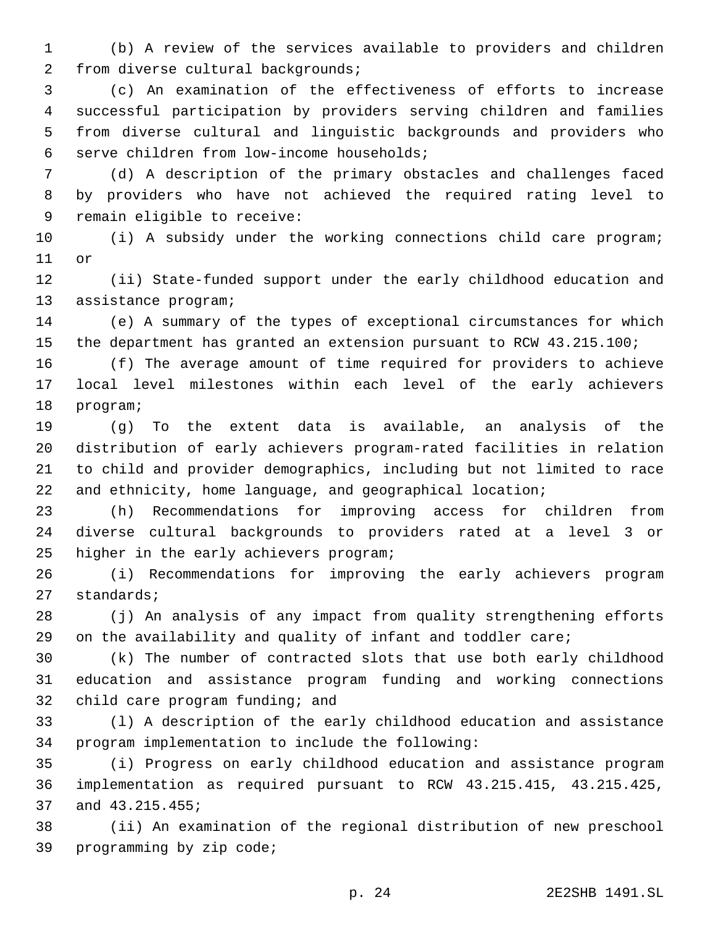(b) A review of the services available to providers and children 2 from diverse cultural backgrounds;

 (c) An examination of the effectiveness of efforts to increase successful participation by providers serving children and families from diverse cultural and linguistic backgrounds and providers who serve children from low-income households;6

 (d) A description of the primary obstacles and challenges faced by providers who have not achieved the required rating level to 9 remain eligible to receive:

 (i) A subsidy under the working connections child care program; 11 or

 (ii) State-funded support under the early childhood education and 13 assistance program;

 (e) A summary of the types of exceptional circumstances for which the department has granted an extension pursuant to RCW 43.215.100;

 (f) The average amount of time required for providers to achieve local level milestones within each level of the early achievers 18 program;

 (g) To the extent data is available, an analysis of the distribution of early achievers program-rated facilities in relation to child and provider demographics, including but not limited to race and ethnicity, home language, and geographical location;

 (h) Recommendations for improving access for children from diverse cultural backgrounds to providers rated at a level 3 or 25 higher in the early achievers program;

 (i) Recommendations for improving the early achievers program 27 standards;

 (j) An analysis of any impact from quality strengthening efforts on the availability and quality of infant and toddler care;

 (k) The number of contracted slots that use both early childhood education and assistance program funding and working connections 32 child care program funding; and

 (l) A description of the early childhood education and assistance 34 program implementation to include the following:

 (i) Progress on early childhood education and assistance program implementation as required pursuant to RCW 43.215.415, 43.215.425, 37 and 43.215.455;

 (ii) An examination of the regional distribution of new preschool 39 programming by zip code;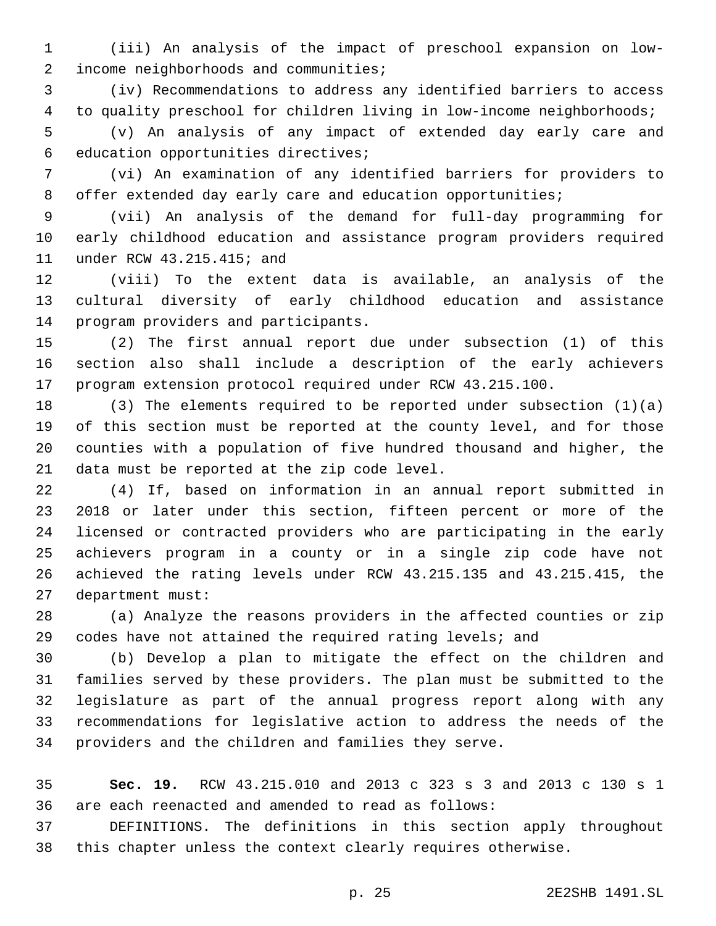(iii) An analysis of the impact of preschool expansion on low-2 income neighborhoods and communities;

 (iv) Recommendations to address any identified barriers to access to quality preschool for children living in low-income neighborhoods;

 (v) An analysis of any impact of extended day early care and 6 education opportunities directives;

 (vi) An examination of any identified barriers for providers to 8 offer extended day early care and education opportunities;

 (vii) An analysis of the demand for full-day programming for early childhood education and assistance program providers required 11 under RCW 43.215.415; and

 (viii) To the extent data is available, an analysis of the cultural diversity of early childhood education and assistance 14 program providers and participants.

 (2) The first annual report due under subsection (1) of this section also shall include a description of the early achievers program extension protocol required under RCW 43.215.100.

 (3) The elements required to be reported under subsection (1)(a) of this section must be reported at the county level, and for those counties with a population of five hundred thousand and higher, the 21 data must be reported at the zip code level.

 (4) If, based on information in an annual report submitted in 2018 or later under this section, fifteen percent or more of the licensed or contracted providers who are participating in the early achievers program in a county or in a single zip code have not achieved the rating levels under RCW 43.215.135 and 43.215.415, the 27 department must:

 (a) Analyze the reasons providers in the affected counties or zip codes have not attained the required rating levels; and

 (b) Develop a plan to mitigate the effect on the children and families served by these providers. The plan must be submitted to the legislature as part of the annual progress report along with any recommendations for legislative action to address the needs of the providers and the children and families they serve.

 **Sec. 19.** RCW 43.215.010 and 2013 c 323 s 3 and 2013 c 130 s 1 are each reenacted and amended to read as follows:

 DEFINITIONS. The definitions in this section apply throughout this chapter unless the context clearly requires otherwise.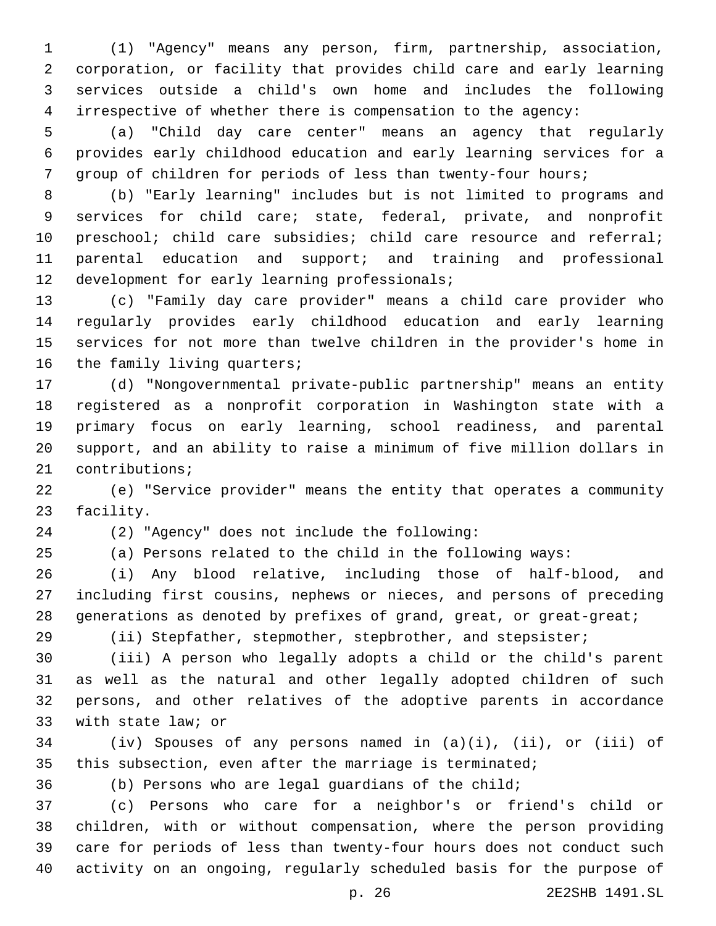(1) "Agency" means any person, firm, partnership, association, corporation, or facility that provides child care and early learning services outside a child's own home and includes the following irrespective of whether there is compensation to the agency:

 (a) "Child day care center" means an agency that regularly provides early childhood education and early learning services for a group of children for periods of less than twenty-four hours;

 (b) "Early learning" includes but is not limited to programs and services for child care; state, federal, private, and nonprofit 10 preschool; child care subsidies; child care resource and referral; parental education and support; and training and professional 12 development for early learning professionals;

 (c) "Family day care provider" means a child care provider who regularly provides early childhood education and early learning services for not more than twelve children in the provider's home in 16 the family living quarters;

 (d) "Nongovernmental private-public partnership" means an entity registered as a nonprofit corporation in Washington state with a primary focus on early learning, school readiness, and parental support, and an ability to raise a minimum of five million dollars in 21 contributions;

 (e) "Service provider" means the entity that operates a community 23 facility.

(2) "Agency" does not include the following:24

(a) Persons related to the child in the following ways:

 (i) Any blood relative, including those of half-blood, and including first cousins, nephews or nieces, and persons of preceding 28 generations as denoted by prefixes of grand, great, or great-great;

(ii) Stepfather, stepmother, stepbrother, and stepsister;

 (iii) A person who legally adopts a child or the child's parent as well as the natural and other legally adopted children of such persons, and other relatives of the adoptive parents in accordance 33 with state law; or

 (iv) Spouses of any persons named in (a)(i), (ii), or (iii) of this subsection, even after the marriage is terminated;

(b) Persons who are legal guardians of the child;

 (c) Persons who care for a neighbor's or friend's child or children, with or without compensation, where the person providing care for periods of less than twenty-four hours does not conduct such activity on an ongoing, regularly scheduled basis for the purpose of

p. 26 2E2SHB 1491.SL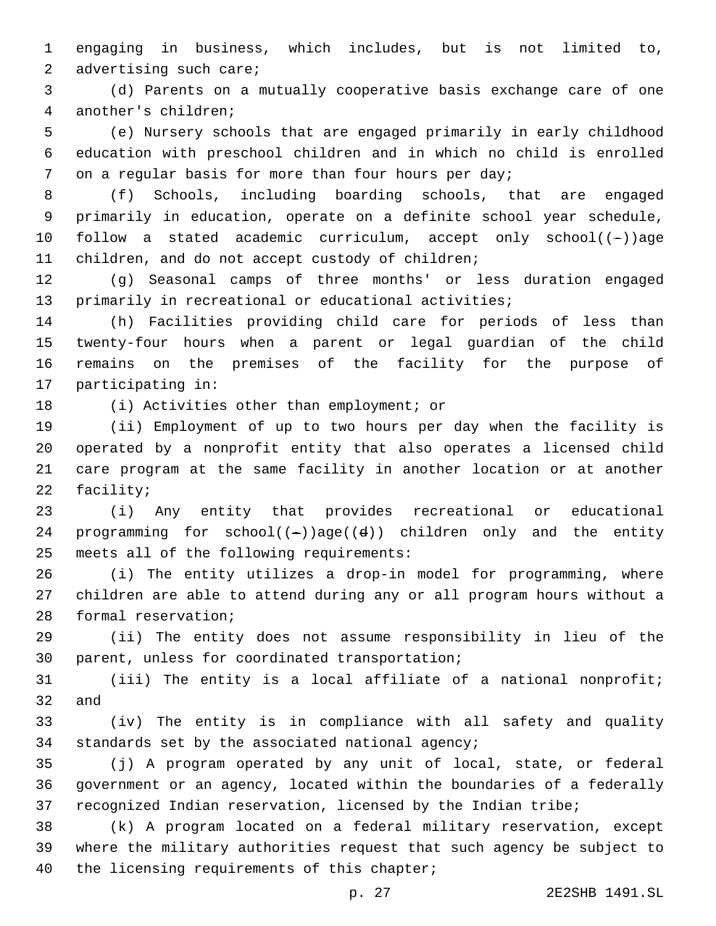engaging in business, which includes, but is not limited to, 2 advertising such care;

 (d) Parents on a mutually cooperative basis exchange care of one another's children;4

 (e) Nursery schools that are engaged primarily in early childhood education with preschool children and in which no child is enrolled on a regular basis for more than four hours per day;

 (f) Schools, including boarding schools, that are engaged primarily in education, operate on a definite school year schedule, follow a stated academic curriculum, accept only school((-))age 11 children, and do not accept custody of children;

 (g) Seasonal camps of three months' or less duration engaged primarily in recreational or educational activities;

 (h) Facilities providing child care for periods of less than twenty-four hours when a parent or legal guardian of the child remains on the premises of the facility for the purpose of 17 participating in:

18 (i) Activities other than employment; or

 (ii) Employment of up to two hours per day when the facility is operated by a nonprofit entity that also operates a licensed child care program at the same facility in another location or at another 22 facility;

 (i) Any entity that provides recreational or educational 24 programming for  $school((-))age((d))$  children only and the entity 25 meets all of the following requirements:

 (i) The entity utilizes a drop-in model for programming, where children are able to attend during any or all program hours without a 28 formal reservation;

 (ii) The entity does not assume responsibility in lieu of the 30 parent, unless for coordinated transportation;

 (iii) The entity is a local affiliate of a national nonprofit; and

 (iv) The entity is in compliance with all safety and quality 34 standards set by the associated national agency;

 (j) A program operated by any unit of local, state, or federal government or an agency, located within the boundaries of a federally recognized Indian reservation, licensed by the Indian tribe;

 (k) A program located on a federal military reservation, except where the military authorities request that such agency be subject to 40 the licensing requirements of this chapter;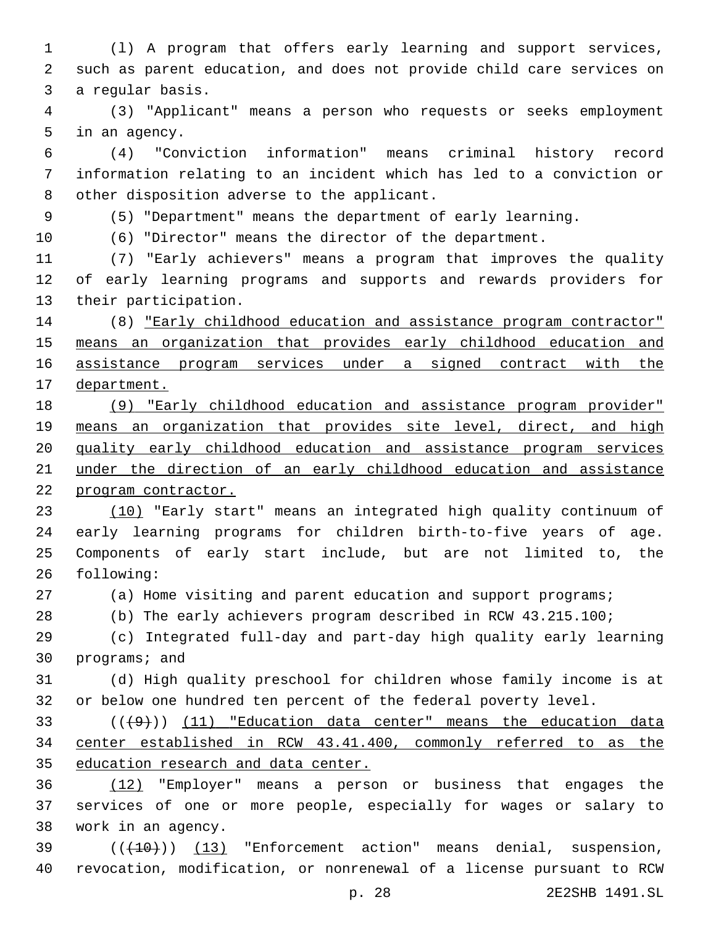(l) A program that offers early learning and support services, such as parent education, and does not provide child care services on 3 a regular basis.

 (3) "Applicant" means a person who requests or seeks employment 5 in an agency.

 (4) "Conviction information" means criminal history record information relating to an incident which has led to a conviction or 8 other disposition adverse to the applicant.

(5) "Department" means the department of early learning.

(6) "Director" means the director of the department.

 (7) "Early achievers" means a program that improves the quality of early learning programs and supports and rewards providers for 13 their participation.

 (8) "Early childhood education and assistance program contractor" 15 means an organization that provides early childhood education and assistance program services under a signed contract with the department.

 (9) "Early childhood education and assistance program provider" 19 means an organization that provides site level, direct, and high quality early childhood education and assistance program services under the direction of an early childhood education and assistance program contractor.

 (10) "Early start" means an integrated high quality continuum of early learning programs for children birth-to-five years of age. Components of early start include, but are not limited to, the 26 following:

(a) Home visiting and parent education and support programs;

(b) The early achievers program described in RCW 43.215.100;

 (c) Integrated full-day and part-day high quality early learning 30 programs; and

 (d) High quality preschool for children whose family income is at or below one hundred ten percent of the federal poverty level.

 (((9))) (11) "Education data center" means the education data center established in RCW 43.41.400, commonly referred to as the education research and data center.

 (12) "Employer" means a person or business that engages the services of one or more people, especially for wages or salary to work in an agency.38

39 (( $(10)$ ) (13) "Enforcement action" means denial, suspension, revocation, modification, or nonrenewal of a license pursuant to RCW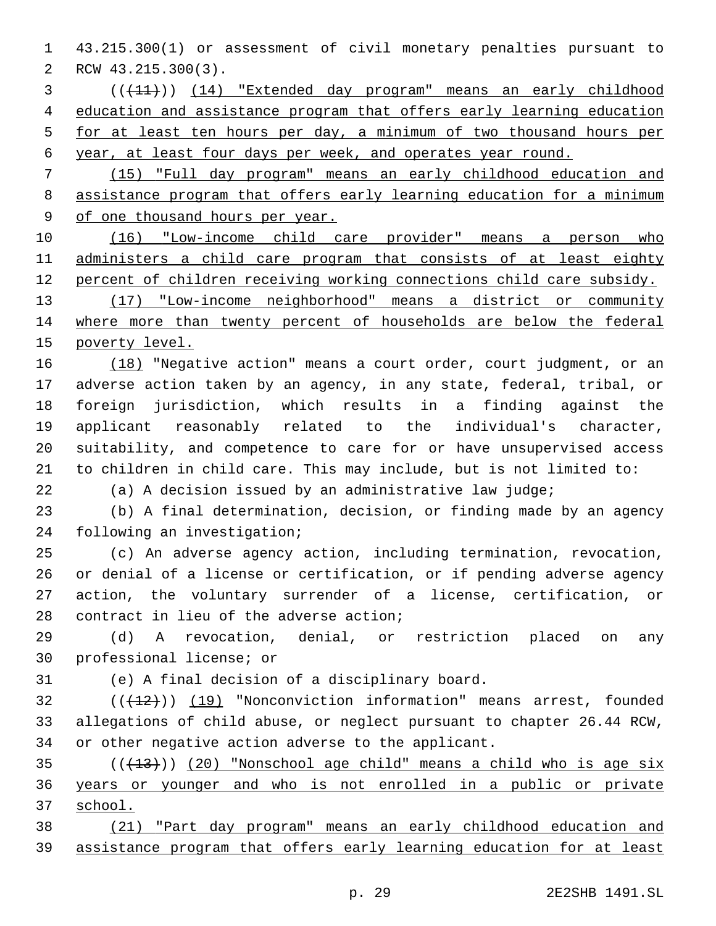43.215.300(1) or assessment of civil monetary penalties pursuant to 2 RCW 43.215.300(3).

- (((11))) (14) "Extended day program" means an early childhood education and assistance program that offers early learning education for at least ten hours per day, a minimum of two thousand hours per year, at least four days per week, and operates year round.
- (15) "Full day program" means an early childhood education and assistance program that offers early learning education for a minimum of one thousand hours per year.

 (16) "Low-income child care provider" means a person who 11 administers a child care program that consists of at least eighty percent of children receiving working connections child care subsidy.

 (17) "Low-income neighborhood" means a district or community 14 where more than twenty percent of households are below the federal poverty level.

16 (18) "Negative action" means a court order, court judgment, or an adverse action taken by an agency, in any state, federal, tribal, or foreign jurisdiction, which results in a finding against the applicant reasonably related to the individual's character, suitability, and competence to care for or have unsupervised access to children in child care. This may include, but is not limited to:

(a) A decision issued by an administrative law judge;

 (b) A final determination, decision, or finding made by an agency 24 following an investigation;

 (c) An adverse agency action, including termination, revocation, or denial of a license or certification, or if pending adverse agency action, the voluntary surrender of a license, certification, or 28 contract in lieu of the adverse action;

 (d) A revocation, denial, or restriction placed on any 30 professional license; or

31 (e) A final decision of a disciplinary board.

 (( $(12)$ )) (19) "Nonconviction information" means arrest, founded allegations of child abuse, or neglect pursuant to chapter 26.44 RCW, or other negative action adverse to the applicant.

 ( $(413)$ ) (20) "Nonschool age child" means a child who is age six years or younger and who is not enrolled in a public or private school.

 (21) "Part day program" means an early childhood education and assistance program that offers early learning education for at least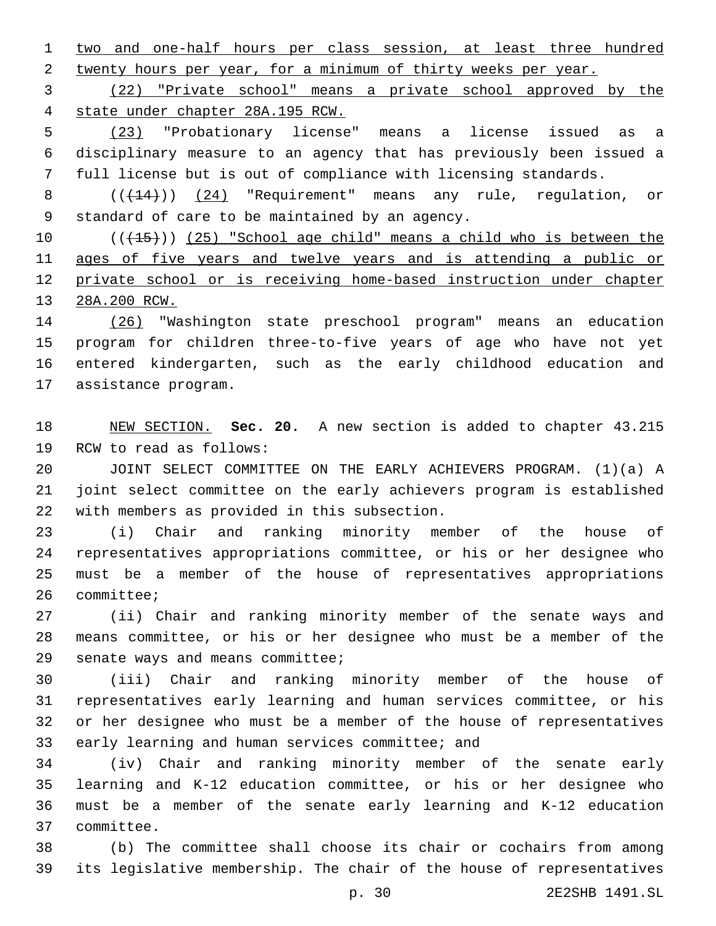two and one-half hours per class session, at least three hundred 2 twenty hours per year, for a minimum of thirty weeks per year.

 (22) "Private school" means a private school approved by the state under chapter 28A.195 RCW.

 (23) "Probationary license" means a license issued as a disciplinary measure to an agency that has previously been issued a full license but is out of compliance with licensing standards.

8  $((+14))$  (24) "Requirement" means any rule, requlation, or 9 standard of care to be maintained by an agency.

10 (( $\left(\frac{15}{15}\right)$ ) (25) "School age child" means a child who is between the ages of five years and twelve years and is attending a public or private school or is receiving home-based instruction under chapter 28A.200 RCW.

 (26) "Washington state preschool program" means an education program for children three-to-five years of age who have not yet entered kindergarten, such as the early childhood education and 17 assistance program.

 NEW SECTION. **Sec. 20.** A new section is added to chapter 43.215 19 RCW to read as follows:

 JOINT SELECT COMMITTEE ON THE EARLY ACHIEVERS PROGRAM. (1)(a) A joint select committee on the early achievers program is established 22 with members as provided in this subsection.

 (i) Chair and ranking minority member of the house of representatives appropriations committee, or his or her designee who must be a member of the house of representatives appropriations 26 committee;

 (ii) Chair and ranking minority member of the senate ways and means committee, or his or her designee who must be a member of the 29 senate ways and means committee;

 (iii) Chair and ranking minority member of the house of representatives early learning and human services committee, or his or her designee who must be a member of the house of representatives 33 early learning and human services committee; and

 (iv) Chair and ranking minority member of the senate early learning and K-12 education committee, or his or her designee who must be a member of the senate early learning and K-12 education committee.37

 (b) The committee shall choose its chair or cochairs from among its legislative membership. The chair of the house of representatives

p. 30 2E2SHB 1491.SL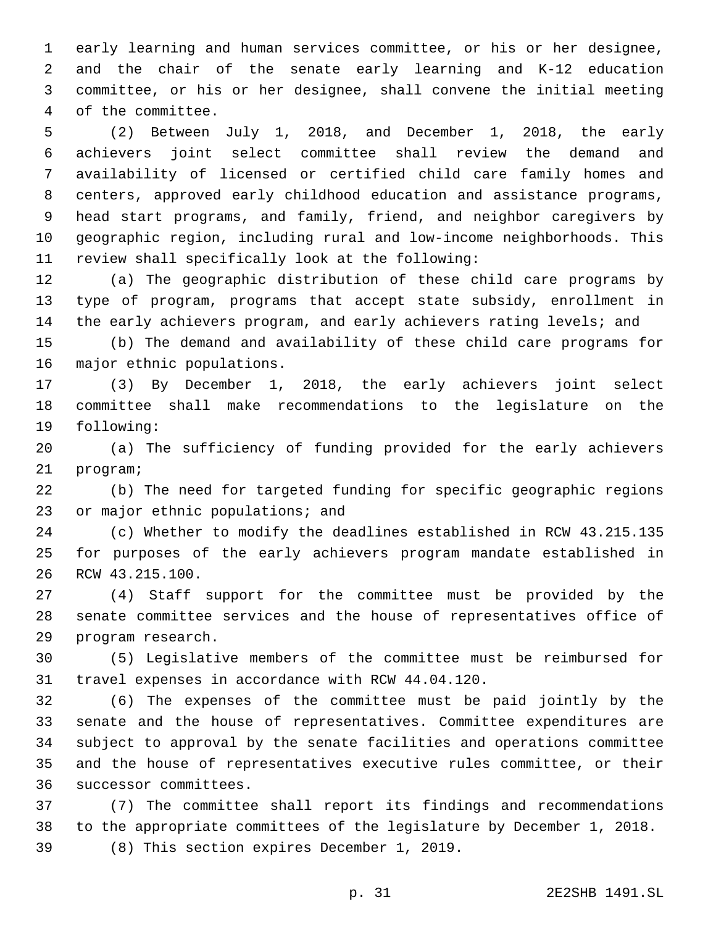early learning and human services committee, or his or her designee, and the chair of the senate early learning and K-12 education committee, or his or her designee, shall convene the initial meeting 4 of the committee.

 (2) Between July 1, 2018, and December 1, 2018, the early achievers joint select committee shall review the demand and availability of licensed or certified child care family homes and centers, approved early childhood education and assistance programs, head start programs, and family, friend, and neighbor caregivers by geographic region, including rural and low-income neighborhoods. This 11 review shall specifically look at the following:

 (a) The geographic distribution of these child care programs by type of program, programs that accept state subsidy, enrollment in the early achievers program, and early achievers rating levels; and

 (b) The demand and availability of these child care programs for 16 major ethnic populations.

 (3) By December 1, 2018, the early achievers joint select committee shall make recommendations to the legislature on the 19 following:

 (a) The sufficiency of funding provided for the early achievers 21 program;

 (b) The need for targeted funding for specific geographic regions 23 or major ethnic populations; and

 (c) Whether to modify the deadlines established in RCW 43.215.135 for purposes of the early achievers program mandate established in 26 RCW 43.215.100.

 (4) Staff support for the committee must be provided by the senate committee services and the house of representatives office of 29 program research.

 (5) Legislative members of the committee must be reimbursed for 31 travel expenses in accordance with RCW 44.04.120.

 (6) The expenses of the committee must be paid jointly by the senate and the house of representatives. Committee expenditures are subject to approval by the senate facilities and operations committee and the house of representatives executive rules committee, or their 36 successor committees.

 (7) The committee shall report its findings and recommendations to the appropriate committees of the legislature by December 1, 2018. (8) This section expires December 1, 2019.